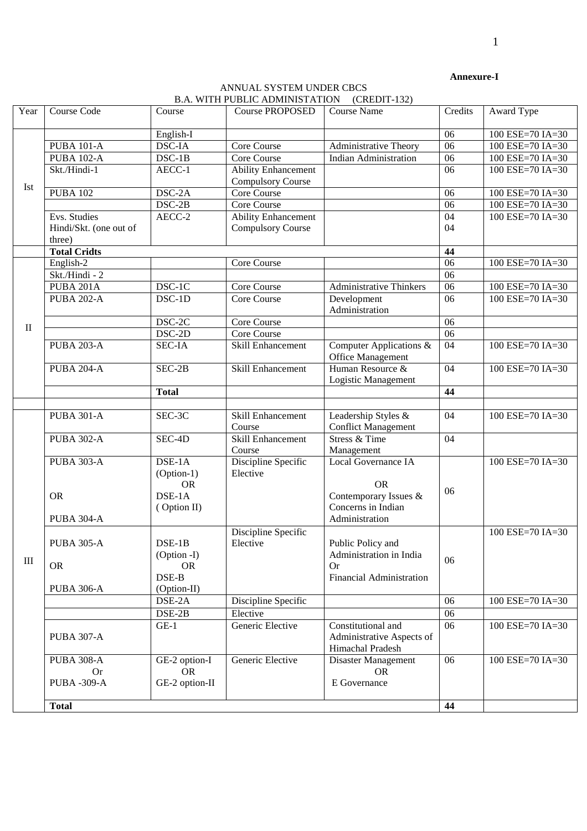### **Annexure-I**

#### ANNUAL SYSTEM UNDER CBCS B.A. WITH PUBLIC ADMINISTATION (CREDIT-132)

|              |                        |                       | D.A. WITH FUBLIC ADMINISTRATION (CREDIT-132) |                                                 |         |                  |
|--------------|------------------------|-----------------------|----------------------------------------------|-------------------------------------------------|---------|------------------|
| Year         | Course Code            | Course                | <b>Course PROPOSED</b>                       | <b>Course Name</b>                              | Credits | Award Type       |
|              |                        | English-I             |                                              |                                                 | 06      | 100 ESE=70 IA=30 |
| <b>Ist</b>   | <b>PUBA 101-A</b>      | DSC-IA                | Core Course                                  | Administrative Theory                           | 06      | 100 ESE=70 IA=30 |
|              | <b>PUBA 102-A</b>      | $DSC-1B$              | Core Course                                  | <b>Indian Administration</b>                    | 06      | 100 ESE=70 IA=30 |
|              | Skt./Hindi-1           | AECC-1                | <b>Ability Enhancement</b>                   |                                                 | 06      | 100 ESE=70 IA=30 |
|              |                        |                       | <b>Compulsory Course</b>                     |                                                 |         |                  |
|              | <b>PUBA 102</b>        | DSC-2A                | Core Course                                  |                                                 | 06      | 100 ESE=70 IA=30 |
|              |                        | $DSC-2B$              | Core Course                                  |                                                 | 06      | 100 ESE=70 IA=30 |
|              | Evs. Studies           | AECC-2                | <b>Ability Enhancement</b>                   |                                                 | 04      | 100 ESE=70 IA=30 |
|              | Hindi/Skt. (one out of |                       | <b>Compulsory Course</b>                     |                                                 | 04      |                  |
|              | three)                 |                       |                                              |                                                 |         |                  |
|              | <b>Total Cridts</b>    |                       |                                              |                                                 | 44      |                  |
|              | English-2              |                       | Core Course                                  |                                                 | 06      | 100 ESE=70 IA=30 |
|              | Skt./Hindi - 2         |                       |                                              |                                                 | 06      |                  |
|              | PUBA 201A              | $DSC-1C$              | Core Course                                  | <b>Administrative Thinkers</b>                  | 06      | 100 ESE=70 IA=30 |
|              | <b>PUBA 202-A</b>      | $DSC-1D$              | <b>Core Course</b>                           | Development                                     | 06      | 100 ESE=70 IA=30 |
|              |                        |                       |                                              | Administration                                  |         |                  |
| $\mathbf{I}$ |                        | DSC-2C                | Core Course                                  |                                                 | 06      |                  |
|              |                        | $DSC-2D$              | Core Course                                  |                                                 | 06      |                  |
|              | <b>PUBA 203-A</b>      | <b>SEC-IA</b>         | Skill Enhancement                            | Computer Applications &<br>Office Management    | 04      | 100 ESE=70 IA=30 |
|              | <b>PUBA 204-A</b>      | SEC-2B                | Skill Enhancement                            | Human Resource &                                | 04      | 100 ESE=70 IA=30 |
|              |                        | <b>Total</b>          |                                              | Logistic Management                             | 44      |                  |
|              |                        |                       |                                              |                                                 |         |                  |
|              | <b>PUBA 301-A</b>      | SEC-3C                | Skill Enhancement                            | Leadership Styles &                             | 04      | 100 ESE=70 IA=30 |
|              |                        |                       | Course                                       | <b>Conflict Management</b>                      |         |                  |
|              | <b>PUBA 302-A</b>      | SEC-4D                | Skill Enhancement                            | Stress & Time                                   | 04      |                  |
|              |                        |                       | Course                                       | Management                                      |         |                  |
|              | <b>PUBA 303-A</b>      | $DSE-1A$              | Discipline Specific                          | Local Governance IA                             |         | 100 ESE=70 IA=30 |
|              |                        | (Option-1)            | Elective                                     |                                                 |         |                  |
|              |                        | <b>OR</b>             |                                              | <b>OR</b>                                       | 06      |                  |
|              | <b>OR</b>              | $DSE-1A$              |                                              | Contemporary Issues &                           |         |                  |
|              |                        | (Option II)           |                                              | Concerns in Indian                              |         |                  |
|              | PUBA 304-A             |                       |                                              | Administration                                  |         |                  |
|              |                        |                       | Discipline Specific                          |                                                 |         | 100 ESE=70 IA=30 |
|              | <b>PUBA 305-A</b>      | $DSE-1B$              | Elective                                     | Public Policy and                               |         |                  |
| $\rm III$    |                        | (Option -I)           |                                              | Administration in India                         | 06      |                  |
|              | <b>OR</b>              | <b>OR</b>             |                                              | Or                                              |         |                  |
|              |                        | $DSE-B$               |                                              | Financial Administration                        |         |                  |
|              | <b>PUBA 306-A</b>      | (Option-II)<br>DSE-2A | Discipline Specific                          |                                                 | 06      | 100 ESE=70 IA=30 |
|              |                        |                       |                                              |                                                 |         |                  |
|              |                        | $DSE-2B$              | Elective                                     |                                                 | 06      |                  |
|              |                        | $GE-1$                | Generic Elective                             | Constitutional and<br>Administrative Aspects of | 06      | 100 ESE=70 IA=30 |
|              | <b>PUBA 307-A</b>      |                       |                                              | Himachal Pradesh                                |         |                  |
|              | <b>PUBA 308-A</b>      | GE-2 option-I         | Generic Elective                             | Disaster Management                             | 06      | 100 ESE=70 IA=30 |
|              | <b>Or</b>              | <b>OR</b>             |                                              | <b>OR</b>                                       |         |                  |
|              | <b>PUBA -309-A</b>     | GE-2 option-II        |                                              | E Governance                                    |         |                  |
|              |                        |                       |                                              |                                                 |         |                  |
|              | <b>Total</b>           |                       |                                              |                                                 | 44      |                  |
|              |                        |                       |                                              |                                                 |         |                  |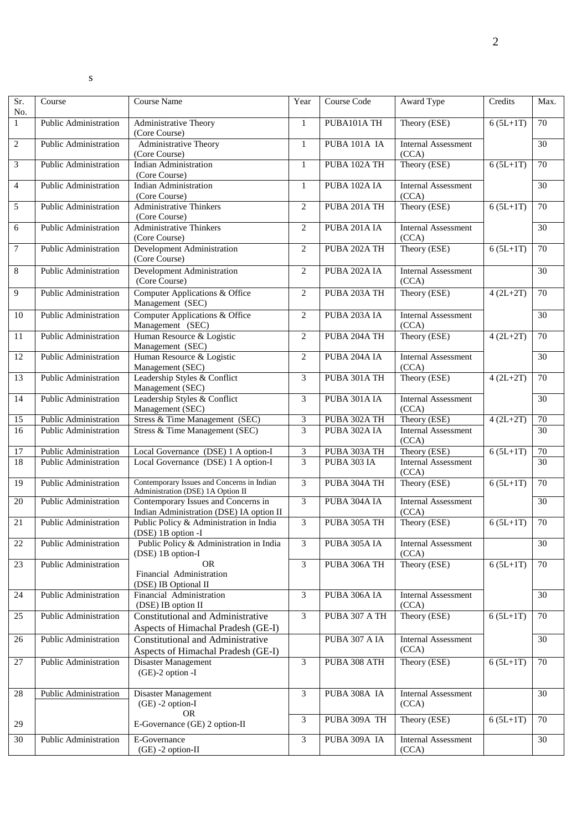| Sr.<br>No.      | Course                       | Course Name                                                                     | Year           | Course Code   | Award Type                          | Credits       | Max.            |
|-----------------|------------------------------|---------------------------------------------------------------------------------|----------------|---------------|-------------------------------------|---------------|-----------------|
| $\mathbf{1}$    | Public Administration        | Administrative Theory<br>(Core Course)                                          | $\mathbf{1}$   | PUBA101A TH   | Theory (ESE)                        | $6 (5L+1T)$   | 70              |
| $\overline{c}$  | <b>Public Administration</b> | <b>Administrative Theory</b><br>(Core Course)                                   | 1              | PUBA 101A IA  | <b>Internal Assessment</b><br>(CCA) |               | $\overline{30}$ |
| $\mathfrak{Z}$  | Public Administration        | <b>Indian Administration</b><br>(Core Course)                                   | 1              | PUBA 102A TH  | Theory (ESE)                        | $6 (5L+1T)$   | 70              |
| $\overline{4}$  | <b>Public Administration</b> | <b>Indian Administration</b><br>(Core Course)                                   | $\mathbf{1}$   | PUBA 102A IA  | <b>Internal Assessment</b><br>(CCA) |               | $\overline{30}$ |
| $\mathfrak{S}$  | Public Administration        | <b>Administrative Thinkers</b><br>(Core Course)                                 | 2              | PUBA 201A TH  | Theory (ESE)                        | $6 (5L+1T)$   | 70              |
| 6               | <b>Public Administration</b> | <b>Administrative Thinkers</b><br>(Core Course)                                 | 2              | PUBA 201A IA  | <b>Internal Assessment</b><br>(CCA) |               | 30              |
| $\tau$          | Public Administration        | Development Administration<br>(Core Course)                                     | 2              | PUBA 202A TH  | Theory (ESE)                        | $6 (5L+1T)$   | 70              |
| $\,8\,$         | Public Administration        | Development Administration<br>(Core Course)                                     | 2              | PUBA 202A IA  | <b>Internal Assessment</b><br>(CCA) |               | 30              |
| $\overline{9}$  | <b>Public Administration</b> | Computer Applications & Office<br>Management (SEC)                              | 2              | PUBA 203A TH  | Theory (ESE)                        | $4 (2L + 2T)$ | 70              |
| 10              | Public Administration        | Computer Applications & Office<br>Management (SEC)                              | 2              | PUBA 203A IA  | <b>Internal Assessment</b><br>(CCA) |               | 30              |
| 11              | <b>Public Administration</b> | Human Resource & Logistic<br>Management (SEC)                                   | $\overline{2}$ | PUBA 204A TH  | Theory (ESE)                        | $4 (2L + 2T)$ | $\overline{70}$ |
| 12              | Public Administration        | Human Resource & Logistic<br>Management (SEC)                                   | 2              | PUBA 204A IA  | <b>Internal Assessment</b><br>(CCA) |               | 30              |
| 13              | <b>Public Administration</b> | Leadership Styles & Conflict<br>Management (SEC)                                | 3              | PUBA 301A TH  | Theory (ESE)                        | $4(2L+2T)$    | 70              |
| 14              | <b>Public Administration</b> | Leadership Styles & Conflict<br>Management (SEC)                                | 3              | PUBA 301A IA  | <b>Internal Assessment</b><br>(CCA) |               | $\overline{30}$ |
| 15              | Public Administration        | Stress & Time Management (SEC)                                                  | 3              | PUBA 302A TH  | Theory (ESE)                        | $4 (2L + 2T)$ | $70\,$          |
| 16              | Public Administration        | Stress & Time Management (SEC)                                                  | 3              | PUBA 302A IA  | <b>Internal Assessment</b><br>(CCA) |               | 30              |
| 17              | Public Administration        | Local Governance (DSE) 1 A option-I                                             | $\mathfrak{Z}$ | PUBA 303A TH  | Theory (ESE)                        | $6 (5L+1T)$   | 70              |
| 18              | <b>Public Administration</b> | Local Governance (DSE) 1 A option-I                                             | 3              | PUBA 303 IA   | <b>Internal Assessment</b><br>(CCA) |               | 30              |
| 19              | <b>Public Administration</b> | Contemporary Issues and Concerns in Indian<br>Administration (DSE) 1A Option II | 3              | PUBA 304A TH  | Theory (ESE)                        | $6 (5L+1T)$   | 70              |
| 20              | <b>Public Administration</b> | Contemporary Issues and Concerns in<br>Indian Administration (DSE) IA option II | 3              | PUBA 304A IA  | <b>Internal Assessment</b><br>(CCA) |               | 30              |
| 21              | Public Administration        | Public Policy & Administration in India<br>(DSE) 1B option -I                   | $\overline{3}$ | PUBA 305A TH  | Theory (ESE)                        | $6 (5L+1T)$   | 70              |
| $\overline{22}$ | Public Administration        | Public Policy & Administration in India<br>(DSE) 1B option-I                    | 3              | PUBA 305A IA  | <b>Internal Assessment</b><br>(CCA) |               | 30              |
| 23              | Public Administration        | <b>OR</b><br>Financial Administration<br>(DSE) IB Optional II                   | $\mathfrak{Z}$ | PUBA 306A TH  | Theory (ESE)                        | $6 (5L+1T)$   | 70              |
| 24              | Public Administration        | Financial Administration<br>(DSE) IB option II                                  | 3              | PUBA 306A IA  | <b>Internal Assessment</b><br>(CCA) |               | 30              |
| 25              | Public Administration        | <b>Constitutional and Administrative</b><br>Aspects of Himachal Pradesh (GE-I)  | 3              | PUBA 307 A TH | Theory (ESE)                        | $6 (5L+1T)$   | 70              |
| 26              | Public Administration        | <b>Constitutional and Administrative</b><br>Aspects of Himachal Pradesh (GE-I)  |                | PUBA 307 A IA | <b>Internal Assessment</b><br>(CCA) |               | $30\,$          |
| 27              | Public Administration        | <b>Disaster Management</b><br>(GE)-2 option -I                                  | 3              | PUBA 308 ATH  | Theory (ESE)                        | $6 (5L+1T)$   | 70              |
| 28              | Public Administration        | Disaster Management<br>$(GE) - 2$ option-I                                      | 3              | PUBA 308A IA  | Internal Assessment<br>(CCA)        |               | 30              |
| 29              |                              | <b>OR</b><br>E-Governance (GE) 2 option-II                                      | 3              | PUBA 309A TH  | Theory (ESE)                        | $6(5L+1T)$    | 70              |
| 30              | Public Administration        | E-Governance<br>(GE) -2 option-II                                               | 3              | PUBA 309A IA  | <b>Internal Assessment</b><br>(CCA) |               | 30              |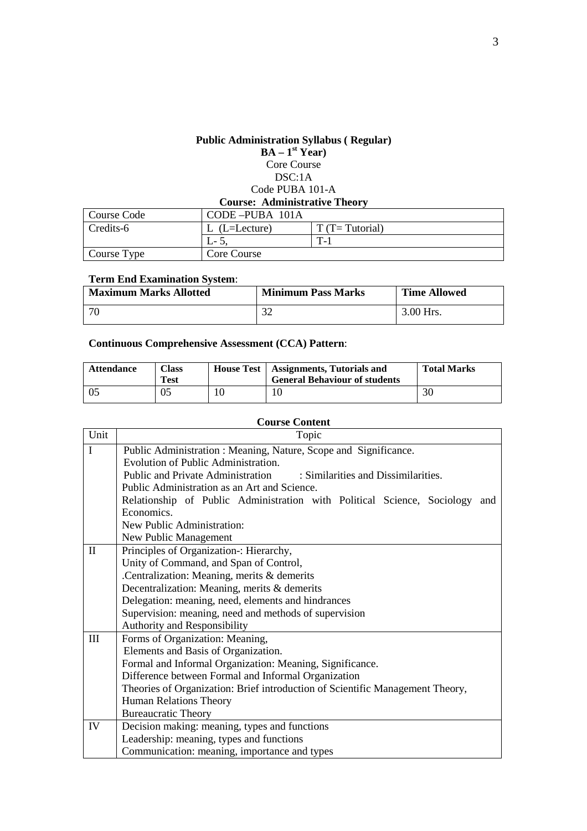### **Public Administration Syllabus ( Regular)**

### **BA – 1st Year)**  Core Course

### DSC:1A Code PUBA 101-A

### **Course: Administrative Theory**  Course Code CODE – PUBA 101A Credits-6 L (L=Lecture) T (T= Tutorial)  $L-5$ ,  $T-1$ Course Type Core Course

### **Term End Examination System**:

| <b>Maximum Marks Allotted</b> | <b>Minimum Pass Marks</b> | <b>Time Allowed</b> |
|-------------------------------|---------------------------|---------------------|
| -70                           | $\sim$                    | 3.00 Hrs.           |

### **Continuous Comprehensive Assessment (CCA) Pattern**:

| <b>Attendance</b> | <b>Class</b><br><b>Test</b> | House Test   Assignments, Tutorials and<br><b>General Behaviour of students</b> | <b>Total Marks</b> |
|-------------------|-----------------------------|---------------------------------------------------------------------------------|--------------------|
|                   | 05                          |                                                                                 | 30                 |

# **Course Content**

| Unit         | Topic                                                                          |  |  |  |  |  |  |  |
|--------------|--------------------------------------------------------------------------------|--|--|--|--|--|--|--|
| $\mathbf{I}$ | Public Administration : Meaning, Nature, Scope and Significance.               |  |  |  |  |  |  |  |
|              | Evolution of Public Administration.                                            |  |  |  |  |  |  |  |
|              | Public and Private Administration<br>: Similarities and Dissimilarities.       |  |  |  |  |  |  |  |
|              | Public Administration as an Art and Science.                                   |  |  |  |  |  |  |  |
|              | Relationship of Public Administration with Political Science, Sociology<br>and |  |  |  |  |  |  |  |
|              | Economics.                                                                     |  |  |  |  |  |  |  |
|              | New Public Administration:                                                     |  |  |  |  |  |  |  |
|              | New Public Management                                                          |  |  |  |  |  |  |  |
| $\mathbf{I}$ | Principles of Organization-: Hierarchy,                                        |  |  |  |  |  |  |  |
|              | Unity of Command, and Span of Control,                                         |  |  |  |  |  |  |  |
|              | .Centralization: Meaning, merits & demerits                                    |  |  |  |  |  |  |  |
|              | Decentralization: Meaning, merits & demerits                                   |  |  |  |  |  |  |  |
|              | Delegation: meaning, need, elements and hindrances                             |  |  |  |  |  |  |  |
|              | Supervision: meaning, need and methods of supervision                          |  |  |  |  |  |  |  |
|              | Authority and Responsibility                                                   |  |  |  |  |  |  |  |
| Ш            | Forms of Organization: Meaning,                                                |  |  |  |  |  |  |  |
|              | Elements and Basis of Organization.                                            |  |  |  |  |  |  |  |
|              | Formal and Informal Organization: Meaning, Significance.                       |  |  |  |  |  |  |  |
|              | Difference between Formal and Informal Organization                            |  |  |  |  |  |  |  |
|              | Theories of Organization: Brief introduction of Scientific Management Theory,  |  |  |  |  |  |  |  |
|              | Human Relations Theory                                                         |  |  |  |  |  |  |  |
|              | <b>Bureaucratic Theory</b>                                                     |  |  |  |  |  |  |  |
| IV           | Decision making: meaning, types and functions                                  |  |  |  |  |  |  |  |
|              | Leadership: meaning, types and functions                                       |  |  |  |  |  |  |  |
|              | Communication: meaning, importance and types                                   |  |  |  |  |  |  |  |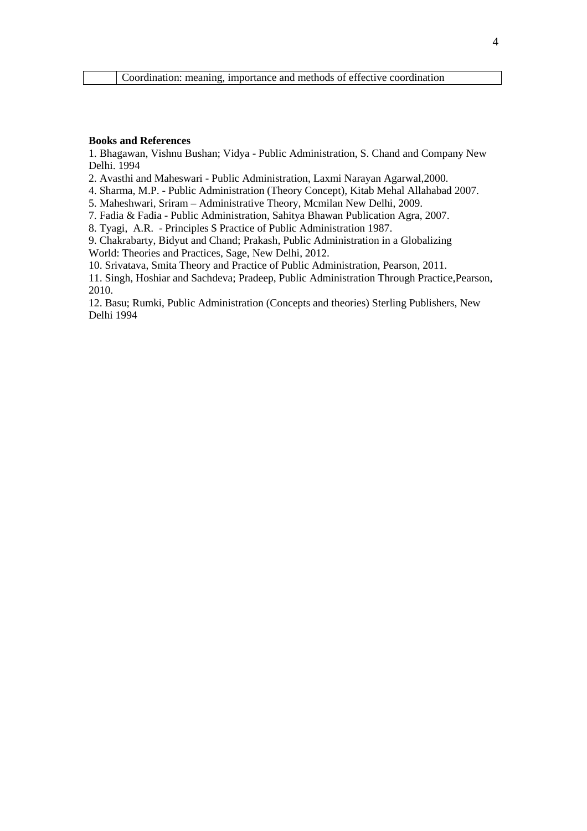#### **Books and References**

1. Bhagawan, Vishnu Bushan; Vidya - Public Administration, S. Chand and Company New Delhi. 1994

2. Avasthi and Maheswari - Public Administration, Laxmi Narayan Agarwal,2000.

4. Sharma, M.P. - Public Administration (Theory Concept), Kitab Mehal Allahabad 2007.

5. Maheshwari, Sriram – Administrative Theory, Mcmilan New Delhi, 2009.

7. Fadia & Fadia - Public Administration, Sahitya Bhawan Publication Agra, 2007.

8. Tyagi, A.R. - Principles \$ Practice of Public Administration 1987.

9. Chakrabarty, Bidyut and Chand; Prakash, Public Administration in a Globalizing World: Theories and Practices, Sage, New Delhi, 2012.

10. Srivatava, Smita Theory and Practice of Public Administration, Pearson, 2011.

11. Singh, Hoshiar and Sachdeva; Pradeep, Public Administration Through Practice,Pearson, 2010.

12. Basu; Rumki, Public Administration (Concepts and theories) Sterling Publishers, New Delhi 1994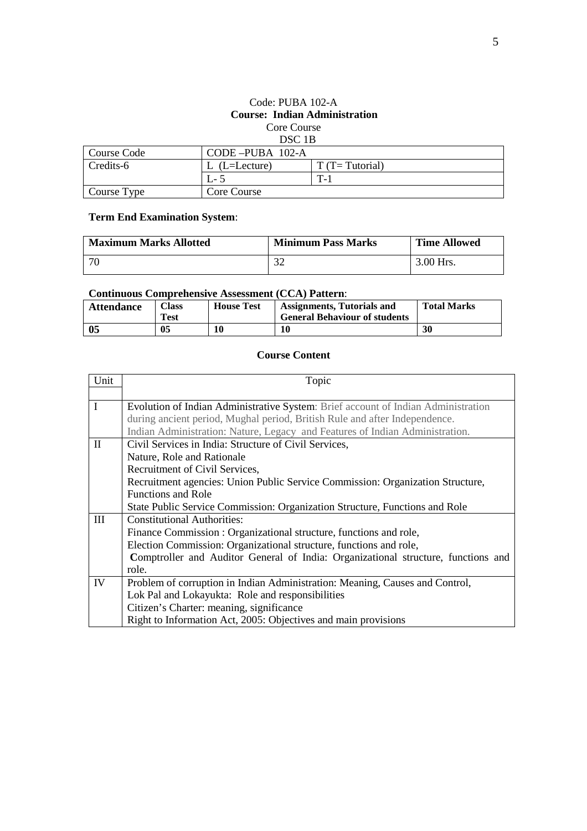### Code: PUBA 102-A **Course: Indian Administration**  Core Course DSC 1B

| DJC ID      |                    |                 |  |  |  |
|-------------|--------------------|-----------------|--|--|--|
| Course Code | $CODE$ –PUBA 102-A |                 |  |  |  |
| Credits-6   | $L$ (L=Lecture)    | $T(T=Tutorial)$ |  |  |  |
|             | - L- 5             | $T-$            |  |  |  |
| Course Type | Core Course        |                 |  |  |  |

# **Term End Examination System**:

| <b>Maximum Marks Allotted</b> | <b>Minimum Pass Marks</b> | <b>Time Allowed</b> |
|-------------------------------|---------------------------|---------------------|
|                               | $\sim$                    | 3.00 Hrs.           |

# **Continuous Comprehensive Assessment (CCA) Pattern**:

| <b>Attendance</b> | $\textcolor{red}{\boldsymbol{\mathsf{Class}}}$<br><b>Test</b> | <b>House Test</b> | <b>Assignments, Tutorials and</b><br><b>General Behaviour of students</b> | <b>Total Marks</b> |
|-------------------|---------------------------------------------------------------|-------------------|---------------------------------------------------------------------------|--------------------|
|                   | 05                                                            | 10                | 10                                                                        | 30                 |

### **Course Content**

| Unit         | Topic                                                                             |
|--------------|-----------------------------------------------------------------------------------|
|              |                                                                                   |
| $\mathbf I$  | Evolution of Indian Administrative System: Brief account of Indian Administration |
|              | during ancient period, Mughal period, British Rule and after Independence.        |
|              | Indian Administration: Nature, Legacy and Features of Indian Administration.      |
| $\mathbf{I}$ | Civil Services in India: Structure of Civil Services,                             |
|              | Nature, Role and Rationale                                                        |
|              | Recruitment of Civil Services,                                                    |
|              | Recruitment agencies: Union Public Service Commission: Organization Structure,    |
|              | <b>Functions and Role</b>                                                         |
|              | State Public Service Commission: Organization Structure, Functions and Role       |
| Ш            | <b>Constitutional Authorities:</b>                                                |
|              | Finance Commission : Organizational structure, functions and role,                |
|              | Election Commission: Organizational structure, functions and role,                |
|              | Comptroller and Auditor General of India: Organizational structure, functions and |
|              | role.                                                                             |
| IV           | Problem of corruption in Indian Administration: Meaning, Causes and Control,      |
|              | Lok Pal and Lokayukta: Role and responsibilities                                  |
|              | Citizen's Charter: meaning, significance                                          |
|              | Right to Information Act, 2005: Objectives and main provisions                    |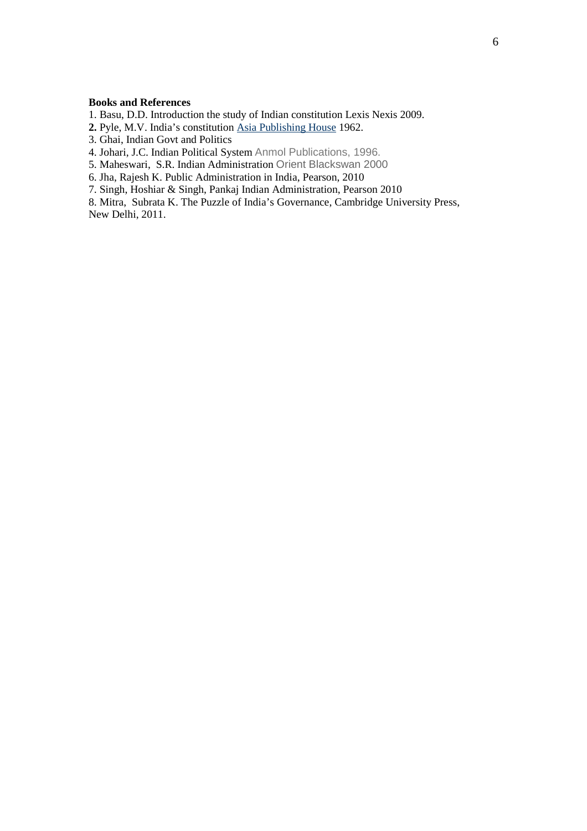### **Books and References**

- 1. Basu, D.D. Introduction the study of Indian constitution Lexis Nexis 2009.
- **2.** Pyle, M.V. India's constitution Asia Publishing House 1962.
- 3. Ghai, Indian Govt and Politics
- 4. Johari, J.C. Indian Political System Anmol Publications, 1996.
- 5. Maheswari, S.R. Indian Administration Orient Blackswan 2000
- 6. Jha, Rajesh K. Public Administration in India, Pearson, 2010
- 7. Singh, Hoshiar & Singh, Pankaj Indian Administration, Pearson 2010

8. Mitra, Subrata K. The Puzzle of India's Governance, Cambridge University Press, New Delhi, 2011.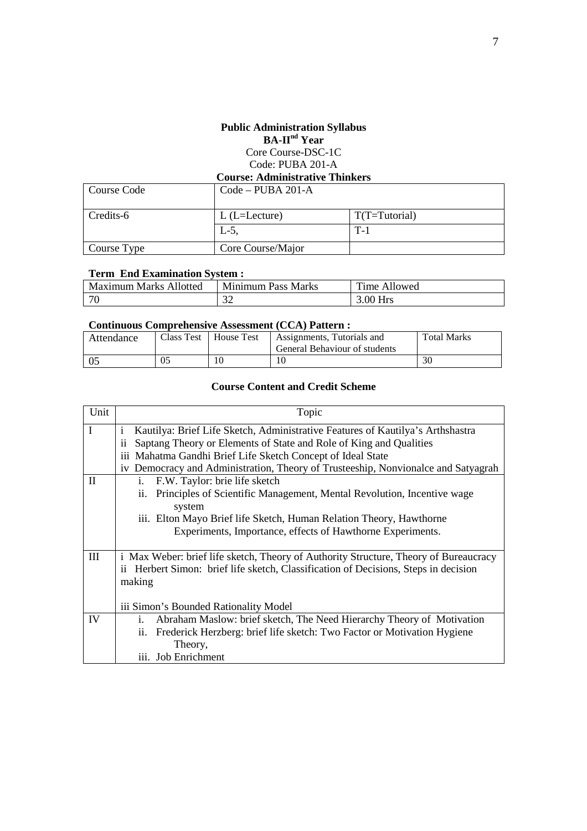### **Public Administration Syllabus BA-IInd Year**  Core Course-DSC-1C

Code: PUBA 201-A

### **Course: Administrative Thinkers**

| Course Code | $Code - PUBA 201-A$ |                 |
|-------------|---------------------|-----------------|
|             |                     |                 |
| Credits-6   | $L$ (L=Lecture)     | $T(T=Tutorial)$ |
|             | $L-5$ .             | $T_{-1}$        |
| Course Type | Core Course/Major   |                 |

### **Term End Examination System :**

| Maximum Marks Allotted | Minimum Pass Marks | Time Allowed |
|------------------------|--------------------|--------------|
| $\pi$                  | $\sim$             | $3.00$ Hrs   |

### **Continuous Comprehensive Assessment (CCA) Pattern :**

| Attendance | Class Test | <b>House Test</b> | Assignments, Tutorials and<br>General Behaviour of students | <b>Total Marks</b> |
|------------|------------|-------------------|-------------------------------------------------------------|--------------------|
|            | 05         | 10                | 10                                                          | 30                 |

# **Course Content and Credit Scheme**

| Unit         | Topic                                                                                          |  |  |  |  |  |
|--------------|------------------------------------------------------------------------------------------------|--|--|--|--|--|
| I            | Kautilya: Brief Life Sketch, Administrative Features of Kautilya's Arthshastra<br>$\mathbf{1}$ |  |  |  |  |  |
|              | Saptang Theory or Elements of State and Role of King and Qualities<br>11                       |  |  |  |  |  |
|              | iii Mahatma Gandhi Brief Life Sketch Concept of Ideal State                                    |  |  |  |  |  |
|              | iv Democracy and Administration, Theory of Trusteeship, Nonvionalce and Satyagrah              |  |  |  |  |  |
| $\mathbf{I}$ | F.W. Taylor: brie life sketch<br>i.                                                            |  |  |  |  |  |
|              | ii.<br>Principles of Scientific Management, Mental Revolution, Incentive wage                  |  |  |  |  |  |
|              | system                                                                                         |  |  |  |  |  |
|              | iii. Elton Mayo Brief life Sketch, Human Relation Theory, Hawthorne                            |  |  |  |  |  |
|              | Experiments, Importance, effects of Hawthorne Experiments.                                     |  |  |  |  |  |
|              |                                                                                                |  |  |  |  |  |
| Ш            | i Max Weber: brief life sketch, Theory of Authority Structure, Theory of Bureaucracy           |  |  |  |  |  |
|              | ii Herbert Simon: brief life sketch, Classification of Decisions, Steps in decision            |  |  |  |  |  |
|              | making                                                                                         |  |  |  |  |  |
|              |                                                                                                |  |  |  |  |  |
|              | iii Simon's Bounded Rationality Model                                                          |  |  |  |  |  |
| IV           | Abraham Maslow: brief sketch, The Need Hierarchy Theory of Motivation<br>1.                    |  |  |  |  |  |
|              | Frederick Herzberg: brief life sketch: Two Factor or Motivation Hygiene<br>ii.                 |  |  |  |  |  |
|              | Theory,                                                                                        |  |  |  |  |  |
|              | iii. Job Enrichment                                                                            |  |  |  |  |  |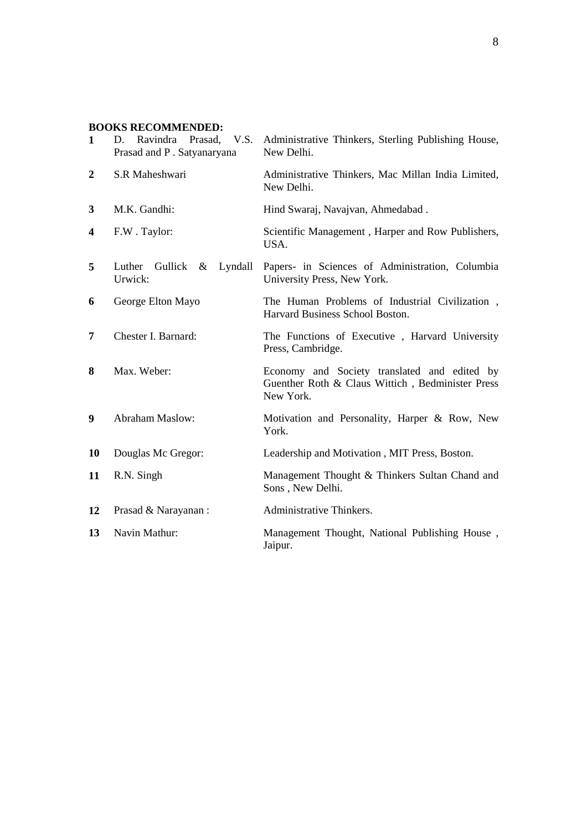# **BOOKS RECOMMENDED:**

| $\mathbf{1}$     | Ravindra Prasad, V.S.<br>D.<br>Prasad and P. Satyanaryana | Administrative Thinkers, Sterling Publishing House,<br>New Delhi.                                             |
|------------------|-----------------------------------------------------------|---------------------------------------------------------------------------------------------------------------|
| $\boldsymbol{2}$ | S.R Maheshwari                                            | Administrative Thinkers, Mac Millan India Limited,<br>New Delhi.                                              |
| 3                | M.K. Gandhi:                                              | Hind Swaraj, Navajvan, Ahmedabad.                                                                             |
| 4                | F.W. Taylor:                                              | Scientific Management, Harper and Row Publishers,<br>USA.                                                     |
| 5                | Luther Gullick &<br>Lyndall<br>Urwick:                    | Papers- in Sciences of Administration, Columbia<br>University Press, New York.                                |
| 6                | George Elton Mayo                                         | The Human Problems of Industrial Civilization,<br>Harvard Business School Boston.                             |
| 7                | Chester I. Barnard:                                       | The Functions of Executive, Harvard University<br>Press, Cambridge.                                           |
| 8                | Max. Weber:                                               | Economy and Society translated and edited by<br>Guenther Roth & Claus Wittich, Bedminister Press<br>New York. |
| 9                | <b>Abraham Maslow:</b>                                    | Motivation and Personality, Harper & Row, New<br>York.                                                        |
| 10               | Douglas Mc Gregor:                                        | Leadership and Motivation, MIT Press, Boston.                                                                 |
| 11               | R.N. Singh                                                | Management Thought & Thinkers Sultan Chand and<br>Sons, New Delhi.                                            |
| 12               | Prasad & Narayanan :                                      | Administrative Thinkers.                                                                                      |
| 13               | Navin Mathur:                                             | Management Thought, National Publishing House,<br>Jaipur.                                                     |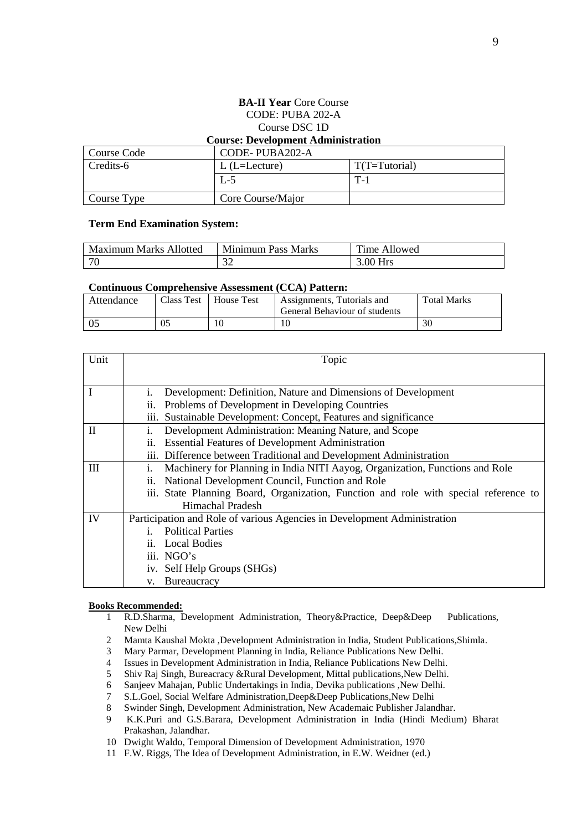# **BA-II Year Core Course** CODE: PUBA 202-A Course DSC 1D

## **Course: Development Administration**

| Course Code | CODE-PUBA202-A    |                 |  |
|-------------|-------------------|-----------------|--|
| Credits-6   | $L$ (L=Lecture)   | $T(T=Tutorial)$ |  |
|             |                   | $T_{-1}$        |  |
| Course Type | Core Course/Major |                 |  |

### **Term End Examination System:**

| Maximum Marks Allotted | Minimum Pass Marks | Time Allowed |
|------------------------|--------------------|--------------|
| 70                     |                    | 3.00 Hrs     |

#### **Continuous Comprehensive Assessment (CCA) Pattern:**

| Attendance | <b>Class Test</b> | <b>House Test</b> | Assignments, Tutorials and<br><b>General Behaviour of students</b> | Total Marks |
|------------|-------------------|-------------------|--------------------------------------------------------------------|-------------|
|            | 05                |                   |                                                                    | 30          |

| Unit         | Topic                                                                                |
|--------------|--------------------------------------------------------------------------------------|
|              |                                                                                      |
| I            | Development: Definition, Nature and Dimensions of Development<br>1.                  |
|              | Problems of Development in Developing Countries<br>ii.                               |
|              | iii. Sustainable Development: Concept, Features and significance                     |
| $\mathbf{I}$ | Development Administration: Meaning Nature, and Scope<br>1.                          |
|              | ii. Essential Features of Development Administration                                 |
|              | iii. Difference between Traditional and Development Administration                   |
| Ш            | Machinery for Planning in India NITI Aayog, Organization, Functions and Role         |
|              | ii. National Development Council, Function and Role                                  |
|              | iii. State Planning Board, Organization, Function and role with special reference to |
|              | Himachal Pradesh                                                                     |
| IV           | Participation and Role of various Agencies in Development Administration             |
|              | <b>Political Parties</b><br>$\mathbf{i}$                                             |
|              | ii. Local Bodies                                                                     |
|              | iii. NGO's                                                                           |
|              | iv. Self Help Groups (SHGs)                                                          |
|              | Bureaucracy<br>V.                                                                    |

#### **Books Recommended:**

- 1 R.D.Sharma, Development Administration, Theory&Practice, Deep&Deep Publications, New Delhi
- 2 Mamta Kaushal Mokta ,Development Administration in India, Student Publications,Shimla.
- 3 Mary Parmar, Development Planning in India, Reliance Publications New Delhi.
- 4 Issues in Development Administration in India, Reliance Publications New Delhi.
- 5 Shiv Raj Singh, Bureacracy &Rural Development, Mittal publications,New Delhi.
- 6 Sanjeev Mahajan, Public Undertakings in India, Devika publications ,New Delhi.
- 7 S.L.Goel, Social Welfare Administration,Deep&Deep Publications,New Delhi
- 8 Swinder Singh, Development Administration, New Academaic Publisher Jalandhar.
- 9 K.K.Puri and G.S.Barara, Development Administration in India (Hindi Medium) Bharat Prakashan, Jalandhar.
- 10 Dwight Waldo, Temporal Dimension of Development Administration, 1970
- 11 F.W. Riggs, The Idea of Development Administration, in E.W. Weidner (ed.)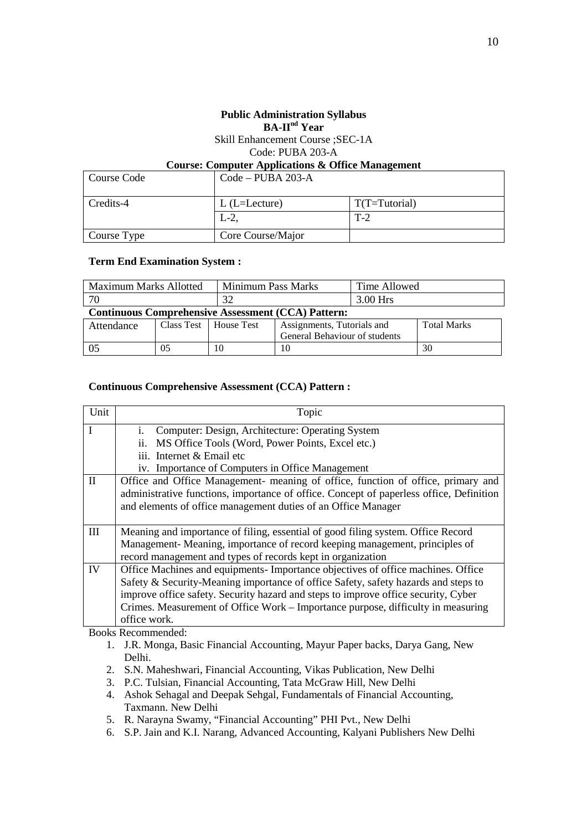### **Public Administration Syllabus BA-IInd Year**  Skill Enhancement Course ;SEC-1A

Code: PUBA 203-A

### **Course: Computer Applications & Office Management**

| Course Code | $Code - PUBA 203-A$ |                 |
|-------------|---------------------|-----------------|
| Credits-4   | $L$ (L=Lecture)     | $T(T=Tutorial)$ |
|             | L-2.                | $T-2$           |
| Course Type | Core Course/Major   |                 |

### **Term End Examination System :**

| <b>Maximum Marks Allotted</b>                             |    | Minimum Pass Marks      |                            | Time Allowed       |    |
|-----------------------------------------------------------|----|-------------------------|----------------------------|--------------------|----|
|                                                           |    | 32                      | $3.00$ Hrs                 |                    |    |
| <b>Continuous Comprehensive Assessment (CCA) Pattern:</b> |    |                         |                            |                    |    |
| Attendance                                                |    | Class Test   House Test | Assignments, Tutorials and | <b>Total Marks</b> |    |
| General Behaviour of students                             |    |                         |                            |                    |    |
|                                                           | 05 | 10                      | 10                         |                    | 30 |

### **Continuous Comprehensive Assessment (CCA) Pattern :**

| Unit         | Topic                                                                                                                                                                                                                                        |
|--------------|----------------------------------------------------------------------------------------------------------------------------------------------------------------------------------------------------------------------------------------------|
|              | Computer: Design, Architecture: Operating System<br>i.                                                                                                                                                                                       |
|              | ii.<br>MS Office Tools (Word, Power Points, Excel etc.)                                                                                                                                                                                      |
|              | Internet $&$ Email etc<br>iii.                                                                                                                                                                                                               |
|              | iv. Importance of Computers in Office Management                                                                                                                                                                                             |
| $\mathbf{I}$ | Office and Office Management- meaning of office, function of office, primary and<br>administrative functions, importance of office. Concept of paperless office, Definition<br>and elements of office management duties of an Office Manager |
|              |                                                                                                                                                                                                                                              |
| III          | Meaning and importance of filing, essential of good filing system. Office Record                                                                                                                                                             |
|              | Management-Meaning, importance of record keeping management, principles of                                                                                                                                                                   |
|              | record management and types of records kept in organization                                                                                                                                                                                  |
| IV           | Office Machines and equipments-Importance objectives of office machines. Office                                                                                                                                                              |
|              | Safety & Security-Meaning importance of office Safety, safety hazards and steps to                                                                                                                                                           |
|              | improve office safety. Security hazard and steps to improve office security, Cyber                                                                                                                                                           |
|              | Crimes. Measurement of Office Work – Importance purpose, difficulty in measuring                                                                                                                                                             |
|              | office work.                                                                                                                                                                                                                                 |

Books Recommended:

- 1. J.R. Monga, Basic Financial Accounting, Mayur Paper backs, Darya Gang, New Delhi.
- 2. S.N. Maheshwari, Financial Accounting, Vikas Publication, New Delhi
- 3. P.C. Tulsian, Financial Accounting, Tata McGraw Hill, New Delhi
- 4. Ashok Sehagal and Deepak Sehgal, Fundamentals of Financial Accounting, Taxmann. New Delhi
- 5. R. Narayna Swamy, "Financial Accounting" PHI Pvt., New Delhi
- 6. S.P. Jain and K.I. Narang, Advanced Accounting, Kalyani Publishers New Delhi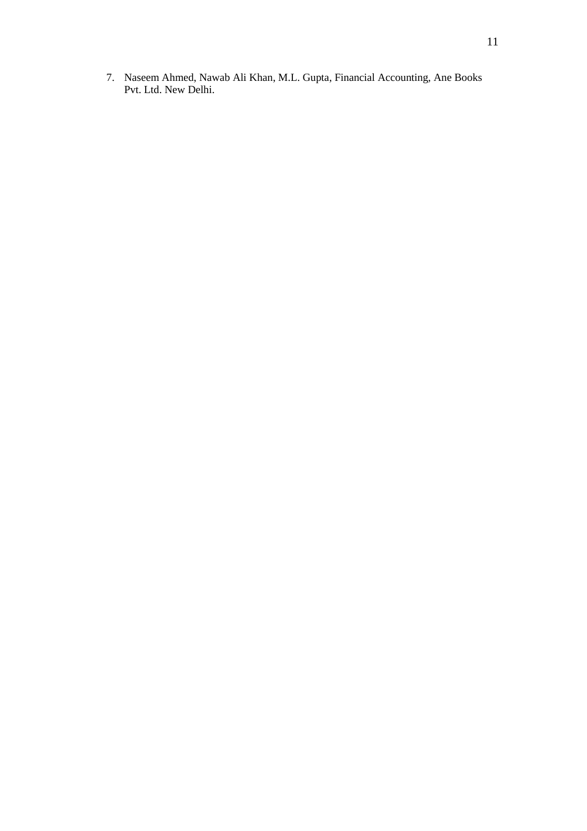7. Naseem Ahmed, Nawab Ali Khan, M.L. Gupta, Financial Accounting, Ane Books Pvt. Ltd. New Delhi.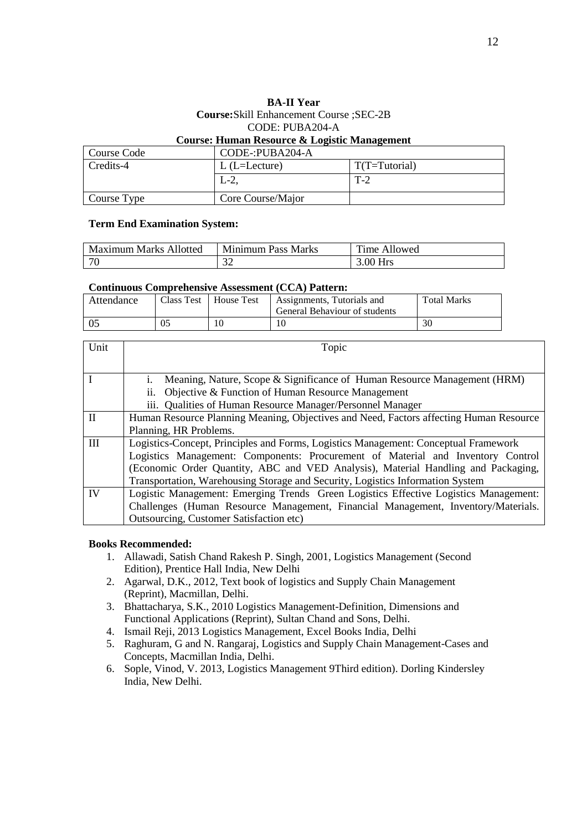# **BA-II Year**

# **Course:**Skill Enhancement Course ;SEC-2B CODE: PUBA204-A

# **Course: Human Resource & Logistic Management**

| Course Code | CODE-: PUBA204-A  |                 |  |
|-------------|-------------------|-----------------|--|
| Credits-4   | $L$ (L=Lecture)   | $T(T=Tutorial)$ |  |
|             | $L-2$             | $T-2$           |  |
| Course Type | Core Course/Major |                 |  |

### **Term End Examination System:**

| Maximum Marks Allotted | Minimum Pass Marks | Time Allowed |
|------------------------|--------------------|--------------|
| <b>70</b>              |                    | 3.00 Hrs     |

### **Continuous Comprehensive Assessment (CCA) Pattern:**

| Attendance |    | Class Test   House Test | Assignments, Tutorials and<br>General Behaviour of students | Total Marks |
|------------|----|-------------------------|-------------------------------------------------------------|-------------|
|            | 01 |                         |                                                             |             |

| <b>Unit</b>  | Topic                                                                                  |  |  |  |  |  |
|--------------|----------------------------------------------------------------------------------------|--|--|--|--|--|
|              |                                                                                        |  |  |  |  |  |
|              | Meaning, Nature, Scope & Significance of Human Resource Management (HRM)<br>1.         |  |  |  |  |  |
|              | Objective & Function of Human Resource Management<br>11.                               |  |  |  |  |  |
|              | iii. Qualities of Human Resource Manager/Personnel Manager                             |  |  |  |  |  |
| $\mathbf{I}$ | Human Resource Planning Meaning, Objectives and Need, Factors affecting Human Resource |  |  |  |  |  |
|              | Planning, HR Problems.                                                                 |  |  |  |  |  |
| III          | Logistics-Concept, Principles and Forms, Logistics Management: Conceptual Framework    |  |  |  |  |  |
|              | Logistics Management: Components: Procurement of Material and Inventory Control        |  |  |  |  |  |
|              | (Economic Order Quantity, ABC and VED Analysis), Material Handling and Packaging,      |  |  |  |  |  |
|              | Transportation, Warehousing Storage and Security, Logistics Information System         |  |  |  |  |  |
| IV           | Logistic Management: Emerging Trends Green Logistics Effective Logistics Management:   |  |  |  |  |  |
|              | Challenges (Human Resource Management, Financial Management, Inventory/Materials.      |  |  |  |  |  |
|              | Outsourcing, Customer Satisfaction etc)                                                |  |  |  |  |  |

### **Books Recommended:**

- 1. Allawadi, Satish Chand Rakesh P. Singh, 2001, Logistics Management (Second Edition), Prentice Hall India, New Delhi
- 2. Agarwal, D.K., 2012, Text book of logistics and Supply Chain Management (Reprint), Macmillan, Delhi.
- 3. Bhattacharya, S.K., 2010 Logistics Management-Definition, Dimensions and Functional Applications (Reprint), Sultan Chand and Sons, Delhi.
- 4. Ismail Reji, 2013 Logistics Management, Excel Books India, Delhi
- 5. Raghuram, G and N. Rangaraj, Logistics and Supply Chain Management-Cases and Concepts, Macmillan India, Delhi.
- 6. Sople, Vinod, V. 2013, Logistics Management 9Third edition). Dorling Kindersley India, New Delhi.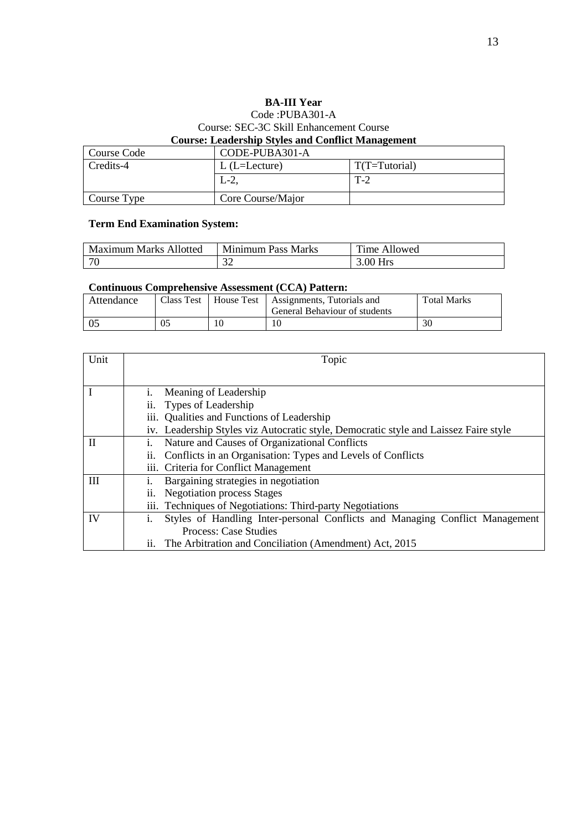# **BA-III Year**

# Code :PUBA301-A Course: SEC-3C Skill Enhancement Course **Course: Leadership Styles and Conflict Management**

| Course Code | CODE-PUBA301-A                     |       |
|-------------|------------------------------------|-------|
| Credits-4   | $T(T=Tutorial)$<br>$L$ (L=Lecture) |       |
|             |                                    | $T-2$ |
| Course Type | Core Course/Major                  |       |

# **Term End Examination System:**

| Maximum Marks Allotted | Minimum Pass Marks | Time Allowed |
|------------------------|--------------------|--------------|
| .7c                    |                    | 3.00 Hrs     |

| Attendance | <b>Class Test</b> | House Test | Assignments, Tutorials and    | Total Marks |
|------------|-------------------|------------|-------------------------------|-------------|
|            |                   |            | General Behaviour of students |             |
|            | 05                | 10         | 10                            | 30          |

| Unit         | Topic                                                                                |  |  |  |  |  |
|--------------|--------------------------------------------------------------------------------------|--|--|--|--|--|
|              |                                                                                      |  |  |  |  |  |
|              | Meaning of Leadership<br>1.                                                          |  |  |  |  |  |
|              | ii. Types of Leadership                                                              |  |  |  |  |  |
|              | iii. Qualities and Functions of Leadership                                           |  |  |  |  |  |
|              | iv. Leadership Styles viz Autocratic style, Democratic style and Laissez Faire style |  |  |  |  |  |
| $\mathbf{H}$ | Nature and Causes of Organizational Conflicts<br>i.                                  |  |  |  |  |  |
|              | Conflicts in an Organisation: Types and Levels of Conflicts<br>11.                   |  |  |  |  |  |
|              | iii. Criteria for Conflict Management                                                |  |  |  |  |  |
| Ш            | Bargaining strategies in negotiation                                                 |  |  |  |  |  |
|              | <b>Negotiation process Stages</b><br>ii.                                             |  |  |  |  |  |
|              | iii. Techniques of Negotiations: Third-party Negotiations                            |  |  |  |  |  |
| IV           | Styles of Handling Inter-personal Conflicts and Managing Conflict Management         |  |  |  |  |  |
|              | <b>Process: Case Studies</b>                                                         |  |  |  |  |  |
|              | ii. The Arbitration and Conciliation (Amendment) Act, 2015                           |  |  |  |  |  |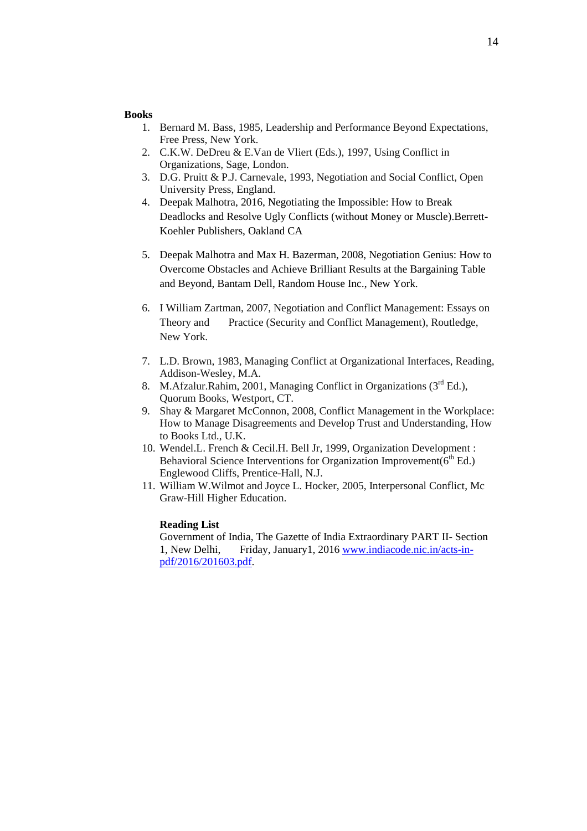#### **Books**

- 1. Bernard M. Bass, 1985, Leadership and Performance Beyond Expectations, Free Press, New York.
- 2. C.K.W. DeDreu & E.Van de Vliert (Eds.), 1997, Using Conflict in Organizations, Sage, London.
- 3. D.G. Pruitt & P.J. Carnevale, 1993, Negotiation and Social Conflict, Open University Press, England.
- 4. Deepak Malhotra, 2016, Negotiating the Impossible: How to Break Deadlocks and Resolve Ugly Conflicts (without Money or Muscle).Berrett-Koehler Publishers, Oakland CA
- 5. Deepak Malhotra and Max H. Bazerman, 2008, Negotiation Genius: How to Overcome Obstacles and Achieve Brilliant Results at the Bargaining Table and Beyond, Bantam Dell, Random House Inc., New York.
- 6. I William Zartman, 2007, Negotiation and Conflict Management: Essays on Theory and Practice (Security and Conflict Management), Routledge, New York.
- 7. L.D. Brown, 1983, Managing Conflict at Organizational Interfaces, Reading, Addison-Wesley, M.A.
- 8. M.Afzalur.Rahim, 2001, Managing Conflict in Organizations  $(3<sup>rd</sup> Ed.)$ , Quorum Books, Westport, CT.
- 9. Shay & Margaret McConnon, 2008, Conflict Management in the Workplace: How to Manage Disagreements and Develop Trust and Understanding, How to Books Ltd., U.K.
- 10. Wendel.L. French & Cecil.H. Bell Jr, 1999, Organization Development : Behavioral Science Interventions for Organization Improvement( $6<sup>th</sup> Ed$ .) Englewood Cliffs, Prentice-Hall, N.J.
- 11. William W.Wilmot and Joyce L. Hocker, 2005, Interpersonal Conflict, Mc Graw-Hill Higher Education.

#### **Reading List**

Government of India, The Gazette of India Extraordinary PART II- Section 1, New Delhi, Friday, January1, 2016 www.indiacode.nic.in/acts-inpdf/2016/201603.pdf.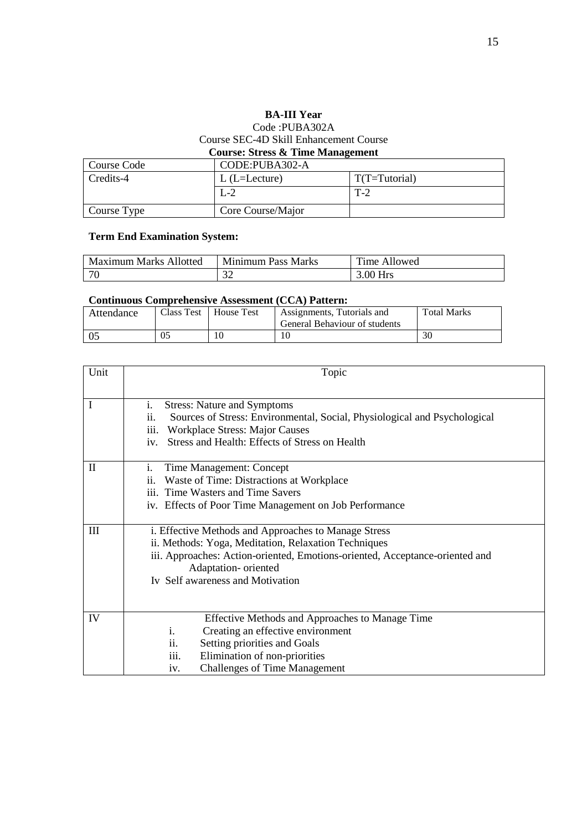### **BA-III Year**  Code :PUBA302A Course SEC-4D Skill Enhancement Course **Course: Stress & Time Management**

| Course Code | CODE:PUBA302-A    |                      |  |
|-------------|-------------------|----------------------|--|
| Credits-4   | $L$ (L=Lecture)   | $\Gamma(T=Tutorial)$ |  |
|             |                   | $T-2$                |  |
| Course Type | Core Course/Major |                      |  |

# **Term End Examination System:**

| Maximum Marks Allotted | Minimum Pass Marks | Time Allowed |
|------------------------|--------------------|--------------|
| 70                     | $\sim$             | $3.00$ Hrs   |

| Attendance | Class Test | <b>House Test</b> | Assignments, Tutorials and<br>General Behaviour of students | Total Marks |
|------------|------------|-------------------|-------------------------------------------------------------|-------------|
|            | 01         |                   | 10                                                          |             |

| Unit         | Topic                                                                            |  |  |  |
|--------------|----------------------------------------------------------------------------------|--|--|--|
|              |                                                                                  |  |  |  |
| I            | <b>Stress: Nature and Symptoms</b><br>i.                                         |  |  |  |
|              | Sources of Stress: Environmental, Social, Physiological and Psychological<br>ii. |  |  |  |
|              | <b>Workplace Stress: Major Causes</b><br>iii.                                    |  |  |  |
|              | Stress and Health: Effects of Stress on Health<br>$iv_{-}$                       |  |  |  |
| $\mathbf{I}$ | Time Management: Concept<br>i.                                                   |  |  |  |
|              | ii. Waste of Time: Distractions at Workplace                                     |  |  |  |
|              | iii. Time Wasters and Time Savers                                                |  |  |  |
|              | iv. Effects of Poor Time Management on Job Performance                           |  |  |  |
| Ш            | i. Effective Methods and Approaches to Manage Stress                             |  |  |  |
|              | ii. Methods: Yoga, Meditation, Relaxation Techniques                             |  |  |  |
|              | iii. Approaches: Action-oriented, Emotions-oriented, Acceptance-oriented and     |  |  |  |
|              | Adaptation-oriented                                                              |  |  |  |
|              | Iv Self awareness and Motivation                                                 |  |  |  |
|              |                                                                                  |  |  |  |
| IV           | Effective Methods and Approaches to Manage Time                                  |  |  |  |
|              | Creating an effective environment<br>i.                                          |  |  |  |
|              | ii.<br>Setting priorities and Goals                                              |  |  |  |
|              | iii.<br>Elimination of non-priorities                                            |  |  |  |
|              | <b>Challenges of Time Management</b><br>iv.                                      |  |  |  |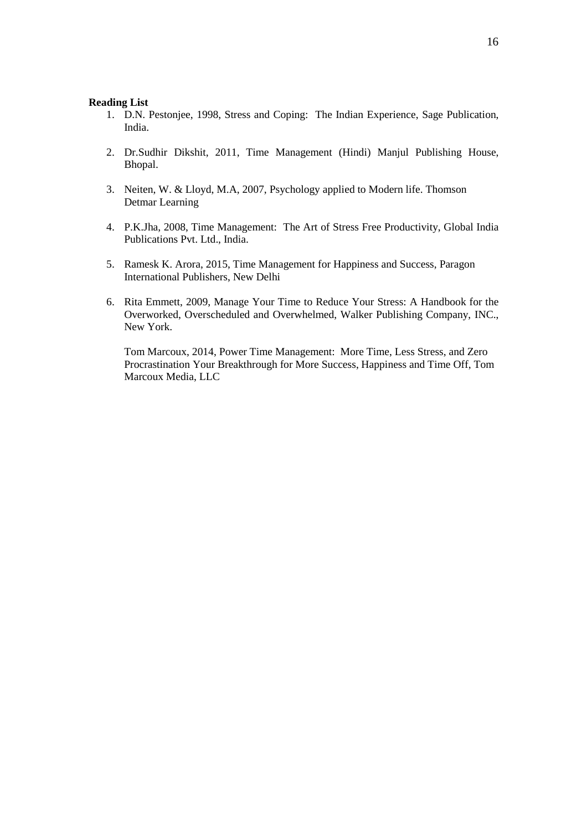#### **Reading List**

- 1. D.N. Pestonjee, 1998, Stress and Coping: The Indian Experience, Sage Publication, India.
- 2. Dr.Sudhir Dikshit, 2011, Time Management (Hindi) Manjul Publishing House, Bhopal.
- 3. Neiten, W. & Lloyd, M.A, 2007, Psychology applied to Modern life. Thomson Detmar Learning
- 4. P.K.Jha, 2008, Time Management: The Art of Stress Free Productivity, Global India Publications Pvt. Ltd., India.
- 5. Ramesk K. Arora, 2015, Time Management for Happiness and Success, Paragon International Publishers, New Delhi
- 6. Rita Emmett, 2009, Manage Your Time to Reduce Your Stress: A Handbook for the Overworked, Overscheduled and Overwhelmed, Walker Publishing Company, INC., New York.

Tom Marcoux, 2014, Power Time Management: More Time, Less Stress, and Zero Procrastination Your Breakthrough for More Success, Happiness and Time Off, Tom Marcoux Media, LLC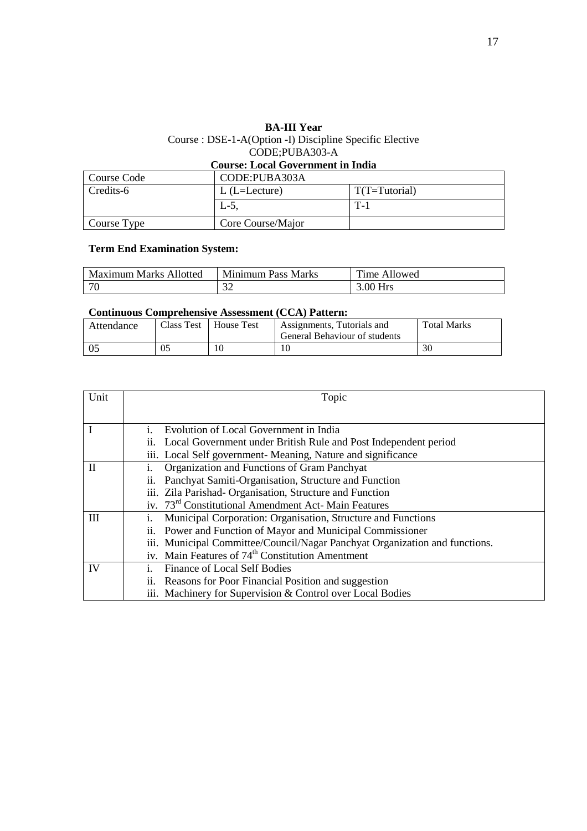### **BA-III Year**  Course : DSE-1-A(Option -I) Discipline Specific Elective CODE;PUBA303-A **Course: Local Government in India**

| Courbe, Local Government in man |                                    |      |  |  |
|---------------------------------|------------------------------------|------|--|--|
| Course Code                     | CODE:PUBA303A                      |      |  |  |
| Credits-6                       | $T(T=Tutorial)$<br>$L$ (L=Lecture) |      |  |  |
|                                 | L-D.                               | $T-$ |  |  |
| Course Type                     | Core Course/Major                  |      |  |  |

# **Term End Examination System:**

| Maximum Marks Allotted | Minimum Pass Marks | Time Allowed |
|------------------------|--------------------|--------------|
| 70                     | $\sim$             | $3.00$ Hrs   |

| Attendance | Class Test | House Test | Assignments, Tutorials and<br>General Behaviour of students | Total Marks |
|------------|------------|------------|-------------------------------------------------------------|-------------|
|            |            |            | 10                                                          |             |

| Unit         | Topic                                                                       |  |  |  |  |  |  |
|--------------|-----------------------------------------------------------------------------|--|--|--|--|--|--|
|              |                                                                             |  |  |  |  |  |  |
|              | Evolution of Local Government in India                                      |  |  |  |  |  |  |
|              | ii. Local Government under British Rule and Post Independent period         |  |  |  |  |  |  |
|              | iii. Local Self government- Meaning, Nature and significance                |  |  |  |  |  |  |
| $\mathbf{I}$ | Organization and Functions of Gram Panchyat                                 |  |  |  |  |  |  |
|              | Panchyat Samiti-Organisation, Structure and Function<br>11.                 |  |  |  |  |  |  |
|              | iii. Zila Parishad-Organisation, Structure and Function                     |  |  |  |  |  |  |
|              | iv. 73 <sup>rd</sup> Constitutional Amendment Act- Main Features            |  |  |  |  |  |  |
| Ш            | Municipal Corporation: Organisation, Structure and Functions                |  |  |  |  |  |  |
|              | ii. Power and Function of Mayor and Municipal Commissioner                  |  |  |  |  |  |  |
|              | iii. Municipal Committee/Council/Nagar Panchyat Organization and functions. |  |  |  |  |  |  |
|              | iv. Main Features of 74 <sup>th</sup> Constitution Amentment                |  |  |  |  |  |  |
| IV           | <b>Finance of Local Self Bodies</b>                                         |  |  |  |  |  |  |
|              | ii. Reasons for Poor Financial Position and suggestion                      |  |  |  |  |  |  |
|              | iii. Machinery for Supervision & Control over Local Bodies                  |  |  |  |  |  |  |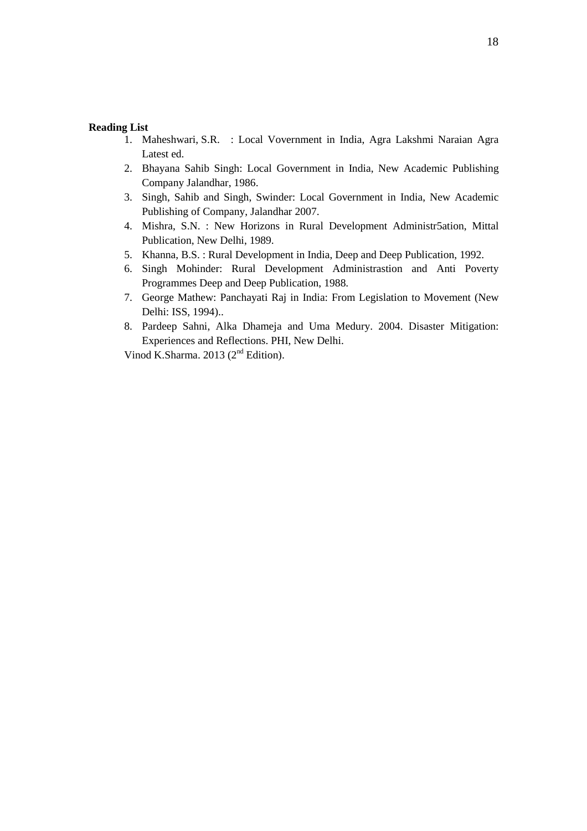#### **Reading List**

- 1. Maheshwari, S.R. : Local Vovernment in India, Agra Lakshmi Naraian Agra Latest ed.
- 2. Bhayana Sahib Singh: Local Government in India, New Academic Publishing Company Jalandhar, 1986.
- 3. Singh, Sahib and Singh, Swinder: Local Government in India, New Academic Publishing of Company, Jalandhar 2007.
- 4. Mishra, S.N. : New Horizons in Rural Development Administr5ation, Mittal Publication, New Delhi, 1989.
- 5. Khanna, B.S. : Rural Development in India, Deep and Deep Publication, 1992.
- 6. Singh Mohinder: Rural Development Administrastion and Anti Poverty Programmes Deep and Deep Publication, 1988.
- 7. George Mathew: Panchayati Raj in India: From Legislation to Movement (New Delhi: ISS, 1994)..
- 8. Pardeep Sahni, Alka Dhameja and Uma Medury. 2004. Disaster Mitigation: Experiences and Reflections. PHI, New Delhi.

Vinod K.Sharma. 2013 (2<sup>nd</sup> Edition).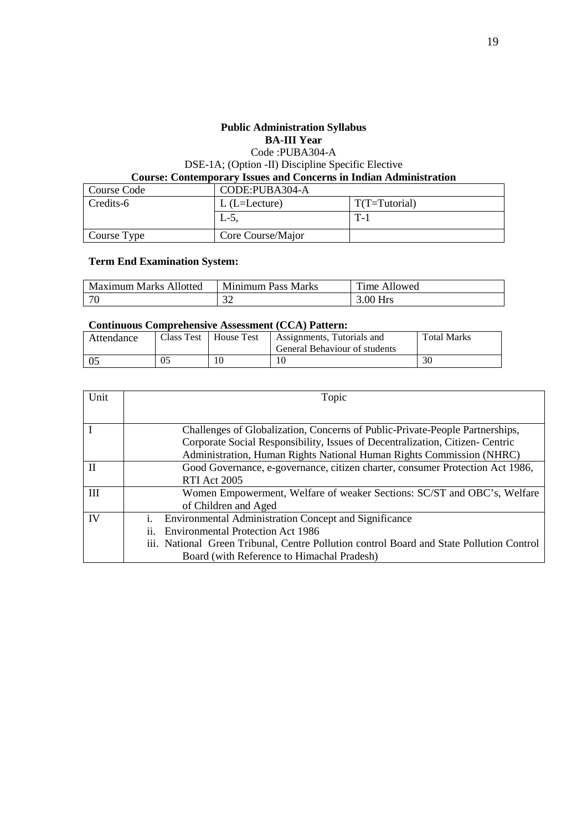### **Public Administration Syllabus BA-III Year**  Code :PUBA304-A

### DSE-1A; (Option -II) Discipline Specific Elective

# **Course: Contemporary Issues and Concerns in Indian Administration**

| Course Code | CODE:PUBA304-A                     |          |
|-------------|------------------------------------|----------|
| Credits-6   | $T(T=Tutorial)$<br>$L$ (L=Lecture) |          |
|             | L-5.                               | $T_{-1}$ |
| Course Type | Core Course/Major                  |          |

# **Term End Examination System:**

| Maximum Marks Allotted | Minimum Pass Marks | Time Allowed |
|------------------------|--------------------|--------------|
| <b>70</b>              | $\cap$             | 3.00 Hrs     |

| Attendance | <b>Class Test</b> | <b>House Test</b> | Assignments, Tutorials and<br>General Behaviour of students | <b>Total Marks</b> |
|------------|-------------------|-------------------|-------------------------------------------------------------|--------------------|
|            | 05                | 10                |                                                             | 30                 |

| Unit         | Topic                                                                                    |
|--------------|------------------------------------------------------------------------------------------|
|              |                                                                                          |
|              | Challenges of Globalization, Concerns of Public-Private-People Partnerships,             |
|              | Corporate Social Responsibility, Issues of Decentralization, Citizen-Centric             |
|              | Administration, Human Rights National Human Rights Commission (NHRC)                     |
| $\mathbf{I}$ | Good Governance, e-governance, citizen charter, consumer Protection Act 1986,            |
|              | <b>RTI</b> Act 2005                                                                      |
| Ш            | Women Empowerment, Welfare of weaker Sections: SC/ST and OBC's, Welfare                  |
|              | of Children and Aged                                                                     |
| IV           | Environmental Administration Concept and Significance<br>i.                              |
|              | <b>Environmental Protection Act 1986</b><br>11.                                          |
|              | iii. National Green Tribunal, Centre Pollution control Board and State Pollution Control |
|              | Board (with Reference to Himachal Pradesh)                                               |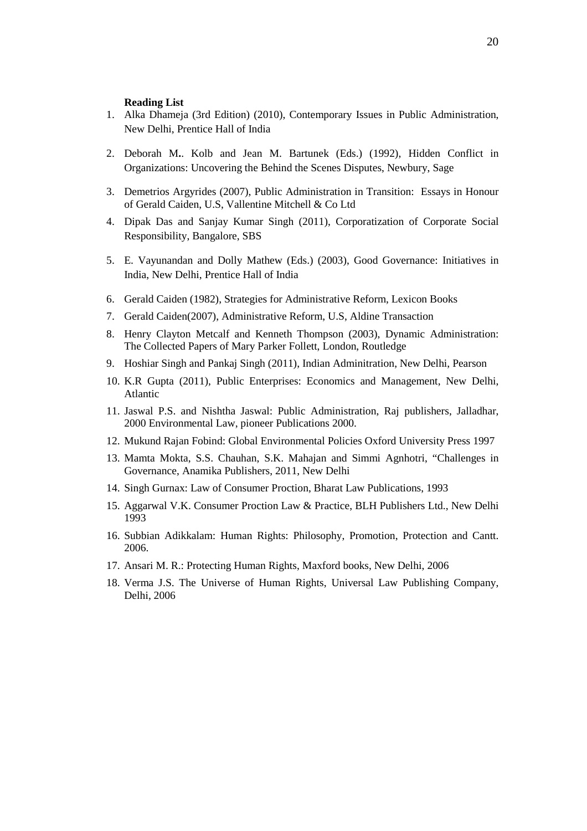#### **Reading List**

- 1. Alka Dhameja (3rd Edition) (2010), Contemporary Issues in Public Administration, New Delhi, Prentice Hall of India
- 2. Deborah M**.**. Kolb and Jean M. Bartunek (Eds.) (1992), Hidden Conflict in Organizations: Uncovering the Behind the Scenes Disputes, Newbury, Sage
- 3. Demetrios Argyrides (2007), Public Administration in Transition: Essays in Honour of Gerald Caiden, U.S, Vallentine Mitchell & Co Ltd
- 4. Dipak Das and Sanjay Kumar Singh (2011), Corporatization of Corporate Social Responsibility, Bangalore, SBS
- 5. E. Vayunandan and Dolly Mathew (Eds.) (2003), Good Governance: Initiatives in India, New Delhi, Prentice Hall of India
- 6. Gerald Caiden (1982), Strategies for Administrative Reform, Lexicon Books
- 7. Gerald Caiden(2007), Administrative Reform, U.S, Aldine Transaction
- 8. Henry Clayton Metcalf and Kenneth Thompson (2003), Dynamic Administration: The Collected Papers of Mary Parker Follett, London, Routledge
- 9. Hoshiar Singh and Pankaj Singh (2011), Indian Adminitration, New Delhi, Pearson
- 10. K.R Gupta (2011), Public Enterprises: Economics and Management, New Delhi, Atlantic
- 11. Jaswal P.S. and Nishtha Jaswal: Public Administration, Raj publishers, Jalladhar, 2000 Environmental Law, pioneer Publications 2000.
- 12. Mukund Rajan Fobind: Global Environmental Policies Oxford University Press 1997
- 13. Mamta Mokta, S.S. Chauhan, S.K. Mahajan and Simmi Agnhotri, "Challenges in Governance, Anamika Publishers, 2011, New Delhi
- 14. Singh Gurnax: Law of Consumer Proction, Bharat Law Publications, 1993
- 15. Aggarwal V.K. Consumer Proction Law & Practice, BLH Publishers Ltd., New Delhi 1993
- 16. Subbian Adikkalam: Human Rights: Philosophy, Promotion, Protection and Cantt. 2006.
- 17. Ansari M. R.: Protecting Human Rights, Maxford books, New Delhi, 2006
- 18. Verma J.S. The Universe of Human Rights, Universal Law Publishing Company, Delhi, 2006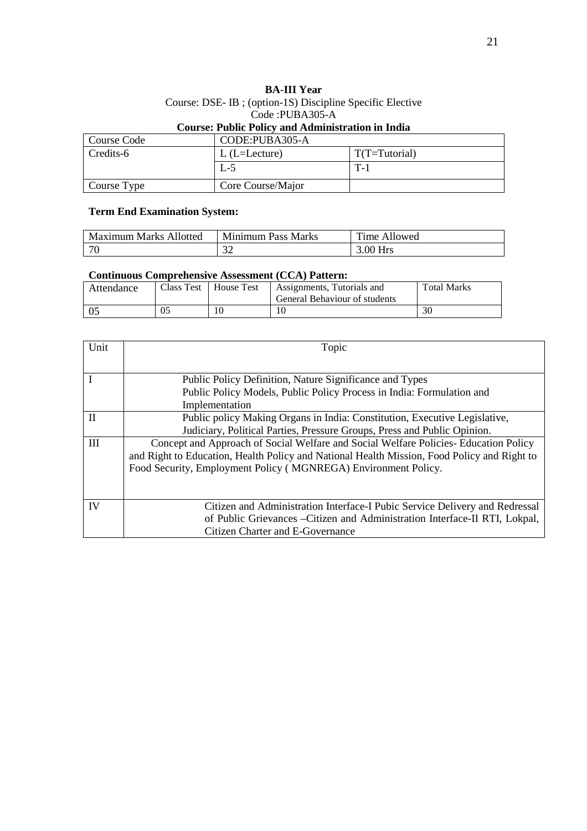### **BA-III Year**  Course: DSE- IB ; (option-1S) Discipline Specific Elective Code :PUBA305-A **Course: Public Policy and Administration in India**

| Course Code | CODE:PUBA305-A                          |       |
|-------------|-----------------------------------------|-------|
| Credits-6   | $\Gamma(T=Tutorial)$<br>$L$ (L=Lecture) |       |
|             |                                         | $T-1$ |
| Course Type | Core Course/Major                       |       |

# **Term End Examination System:**

| Maximum Marks Allotted | Minimum Pass Marks | Time Allowed |
|------------------------|--------------------|--------------|
| - 70                   |                    | $3.00$ Hrs   |

| Attendance |    | Class Test   House Test | Assignments, Tutorials and<br>General Behaviour of students | <b>Total Marks</b> |
|------------|----|-------------------------|-------------------------------------------------------------|--------------------|
|            | 05 |                         |                                                             |                    |

| Unit         | Topic                                                                                       |
|--------------|---------------------------------------------------------------------------------------------|
|              | Public Policy Definition, Nature Significance and Types                                     |
|              | Public Policy Models, Public Policy Process in India: Formulation and                       |
|              | Implementation                                                                              |
| $\mathbf{I}$ | Public policy Making Organs in India: Constitution, Executive Legislative,                  |
|              | Judiciary, Political Parties, Pressure Groups, Press and Public Opinion.                    |
| III          | Concept and Approach of Social Welfare and Social Welfare Policies- Education Policy        |
|              | and Right to Education, Health Policy and National Health Mission, Food Policy and Right to |
|              | Food Security, Employment Policy (MGNREGA) Environment Policy.                              |
|              |                                                                                             |
| <b>IV</b>    | Citizen and Administration Interface-I Pubic Service Delivery and Redressal                 |
|              | of Public Grievances - Citizen and Administration Interface-II RTI, Lokpal,                 |
|              | Citizen Charter and E-Governance                                                            |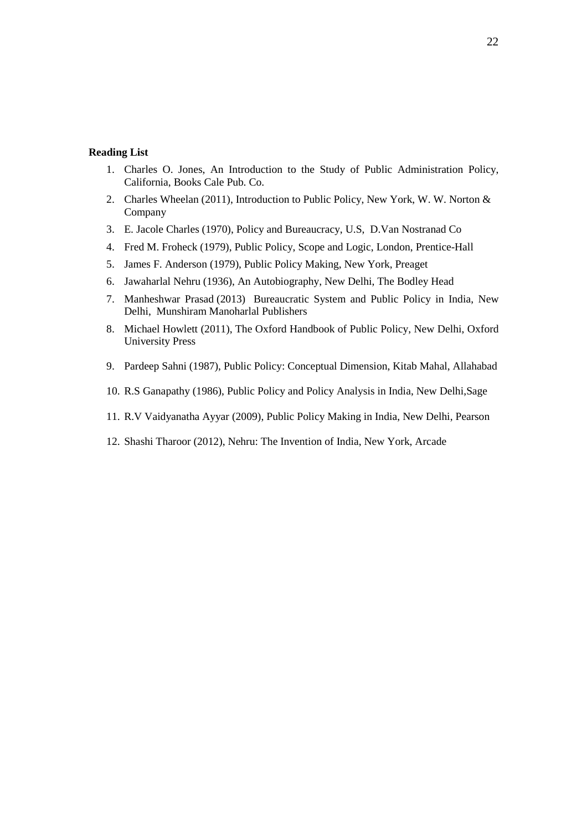#### **Reading List**

- 1. Charles O. Jones, An Introduction to the Study of Public Administration Policy, California, Books Cale Pub. Co.
- 2. Charles Wheelan (2011), Introduction to Public Policy, New York, W. W. Norton & Company
- 3. E. Jacole Charles (1970), Policy and Bureaucracy, U.S, D.Van Nostranad Co
- 4. Fred M. Froheck (1979), Public Policy, Scope and Logic, London, Prentice-Hall
- 5. James F. Anderson (1979), Public Policy Making, New York, Preaget
- 6. Jawaharlal Nehru (1936), An Autobiography, New Delhi, The Bodley Head
- 7. Manheshwar Prasad (2013) Bureaucratic System and Public Policy in India, New Delhi, Munshiram Manoharlal Publishers
- 8. Michael Howlett (2011), The Oxford Handbook of Public Policy, New Delhi, Oxford University Press
- 9. Pardeep Sahni (1987), Public Policy: Conceptual Dimension, Kitab Mahal, Allahabad
- 10. R.S Ganapathy (1986), Public Policy and Policy Analysis in India, New Delhi,Sage
- 11. R.V Vaidyanatha Ayyar (2009), Public Policy Making in India, New Delhi, Pearson
- 12. Shashi Tharoor (2012), Nehru: The Invention of India, New York, Arcade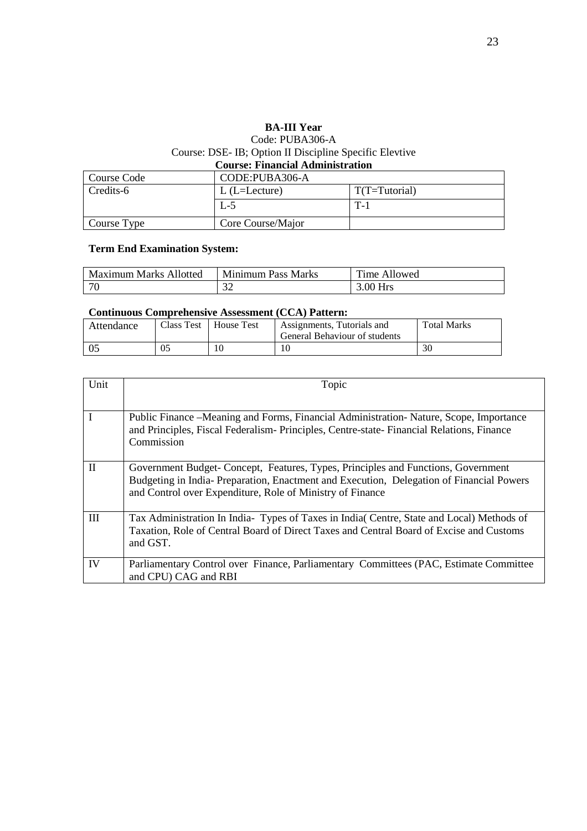### **BA-III Year**  Code: PUBA306-A Course: DSE- IB; Option II Discipline Specific Elevtive **Course: Financial Administration**

|             | Courber Financial Auminion auton   |       |  |  |  |
|-------------|------------------------------------|-------|--|--|--|
| Course Code | CODE:PUBA306-A                     |       |  |  |  |
| Credits-6   | $T(T=Tutorial)$<br>$L$ (L=Lecture) |       |  |  |  |
|             |                                    | $T-1$ |  |  |  |
| Course Type | Core Course/Major                  |       |  |  |  |

# **Term End Examination System:**

| Maximum Marks Allotted | Minimum Pass Marks | Time Allowed |
|------------------------|--------------------|--------------|
| 70                     | $\sim$             | $3.00$ Hrs   |

| Attendance |    | Class Test   House Test | Assignments, Tutorials and<br>General Behaviour of students | <b>Total Marks</b> |
|------------|----|-------------------------|-------------------------------------------------------------|--------------------|
|            | 05 | 10                      | 10                                                          |                    |

| Unit         | Topic                                                                                                                                                                                                                                    |
|--------------|------------------------------------------------------------------------------------------------------------------------------------------------------------------------------------------------------------------------------------------|
|              |                                                                                                                                                                                                                                          |
|              | Public Finance – Meaning and Forms, Financial Administration - Nature, Scope, Importance<br>and Principles, Fiscal Federalism-Principles, Centre-state-Financial Relations, Finance<br>Commission                                        |
| $\mathbf{I}$ | Government Budget-Concept, Features, Types, Principles and Functions, Government<br>Budgeting in India-Preparation, Enactment and Execution, Delegation of Financial Powers<br>and Control over Expenditure, Role of Ministry of Finance |
| Ш            | Tax Administration In India-Types of Taxes in India (Centre, State and Local) Methods of<br>Taxation, Role of Central Board of Direct Taxes and Central Board of Excise and Customs<br>and GST.                                          |
| IV           | Parliamentary Control over Finance, Parliamentary Committees (PAC, Estimate Committee<br>and CPU) CAG and RBI                                                                                                                            |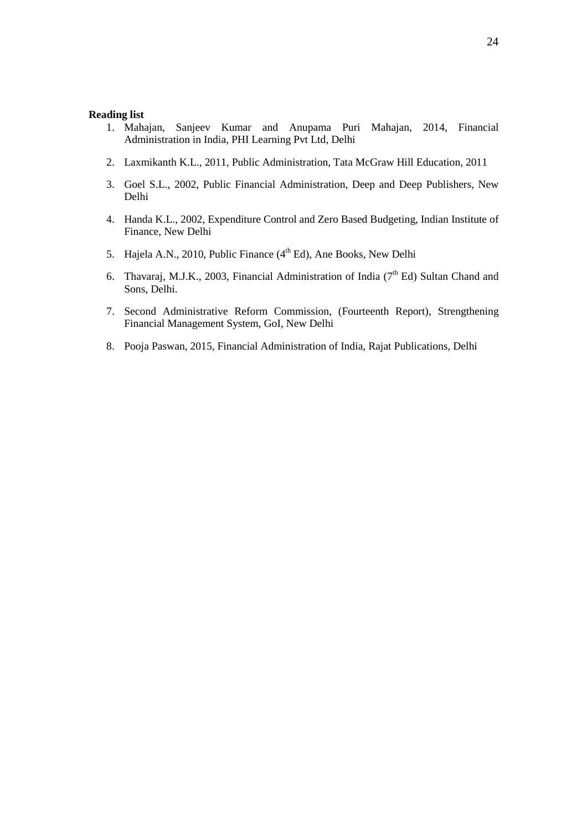### **Reading list**

- 1. Mahajan, Sanjeev Kumar and Anupama Puri Mahajan, 2014, Financial Administration in India, PHI Learning Pvt Ltd, Delhi
- 2. Laxmikanth K.L., 2011, Public Administration, Tata McGraw Hill Education, 2011
- 3. Goel S.L., 2002, Public Financial Administration, Deep and Deep Publishers, New Delhi
- 4. Handa K.L., 2002, Expenditure Control and Zero Based Budgeting, Indian Institute of Finance, New Delhi
- 5. Hajela A.N., 2010, Public Finance (4<sup>th</sup> Ed), Ane Books, New Delhi
- 6. Thavaraj, M.J.K., 2003, Financial Administration of India  $(7<sup>th</sup> Ed)$  Sultan Chand and Sons, Delhi.
- 7. Second Administrative Reform Commission, (Fourteenth Report), Strengthening Financial Management System, GoI, New Delhi
- 8. Pooja Paswan, 2015, Financial Administration of India, Rajat Publications, Delhi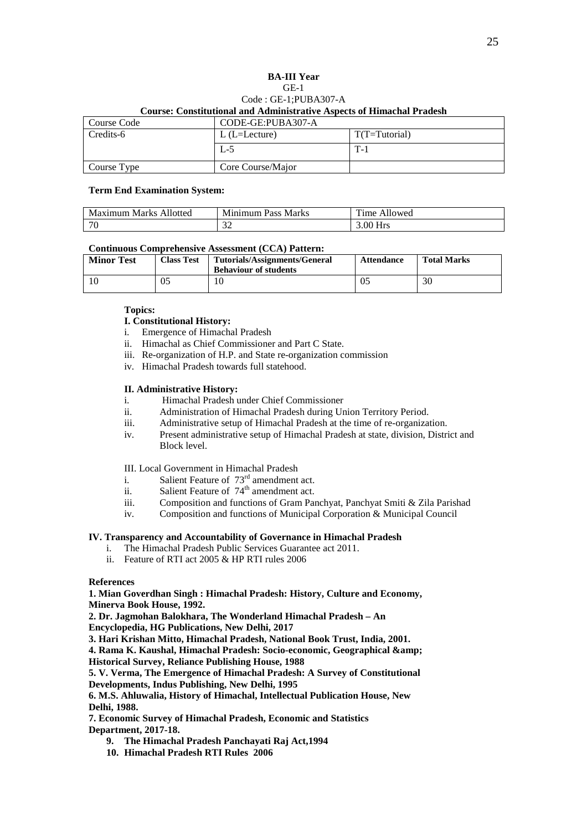#### **BA-III Year**  GE-1 Code : GE-1;PUBA307-A **Course: Constitutional and Administrative Aspects of Himachal Pradesh**

| Course Code | CODE-GE:PUBA307-A |                 |
|-------------|-------------------|-----------------|
| Credits-6   | $L$ (L=Lecture)   | $T(T=Tutorial)$ |
|             | $L-5$             | $T-1$           |
| Course Type | Core Course/Major |                 |

#### **Term End Examination System:**

| Maximum Marks Allotted | Minimum Pass Marks | $\mathbf{m}$<br>Allowed<br><sup>1</sup> me |
|------------------------|--------------------|--------------------------------------------|
| 70                     | $\sim$             | $5.00 \text{ } \mathrm{F}$<br>Hrs          |

#### **Continuous Comprehensive Assessment (CCA) Pattern:**

| <b>Minor Test</b> | <b>Class Test</b> | Tutorials/Assignments/General<br><b>Behaviour of students</b> | <b>Attendance</b> | <b>Total Marks</b> |
|-------------------|-------------------|---------------------------------------------------------------|-------------------|--------------------|
|                   | 05                |                                                               | 05                | 30                 |

#### **Topics:**

#### **I. Constitutional History:**

- i. Emergence of Himachal Pradesh
- ii. Himachal as Chief Commissioner and Part C State.
- iii. Re-organization of H.P. and State re-organization commission
- iv. Himachal Pradesh towards full statehood.

#### **II. Administrative History:**

- i. Himachal Pradesh under Chief Commissioner
- ii. Administration of Himachal Pradesh during Union Territory Period.
- iii. Administrative setup of Himachal Pradesh at the time of re-organization.
- iv. Present administrative setup of Himachal Pradesh at state, division, District and Block level.

III. Local Government in Himachal Pradesh

- i. Salient Feature of  $73<sup>rd</sup>$  amendment act.
- ii. Salient Feature of  $74<sup>th</sup>$  amendment act.
- iii. Composition and functions of Gram Panchyat, Panchyat Smiti & Zila Parishad
- iv. Composition and functions of Municipal Corporation & Municipal Council

#### **IV. Transparency and Accountability of Governance in Himachal Pradesh**

- i. The Himachal Pradesh Public Services Guarantee act 2011.
- ii. Feature of RTI act 2005 & HP RTI rules 2006

#### **References**

**1. Mian Goverdhan Singh : Himachal Pradesh: History, Culture and Economy,** 

**Minerva Book House, 1992.** 

**2. Dr. Jagmohan Balokhara, The Wonderland Himachal Pradesh – An** 

**Encyclopedia, HG Publications, New Delhi, 2017** 

**3. Hari Krishan Mitto, Himachal Pradesh, National Book Trust, India, 2001.** 

**4. Rama K. Kaushal, Himachal Pradesh: Socio-economic, Geographical & Historical Survey, Reliance Publishing House, 1988** 

**5. V. Verma, The Emergence of Himachal Pradesh: A Survey of Constitutional Developments, Indus Publishing, New Delhi, 1995** 

**6. M.S. Ahluwalia, History of Himachal, Intellectual Publication House, New Delhi, 1988.** 

**7. Economic Survey of Himachal Pradesh, Economic and Statistics Department, 2017-18.** 

- **9. The Himachal Pradesh Panchayati Raj Act,1994**
- **10. Himachal Pradesh RTI Rules 2006**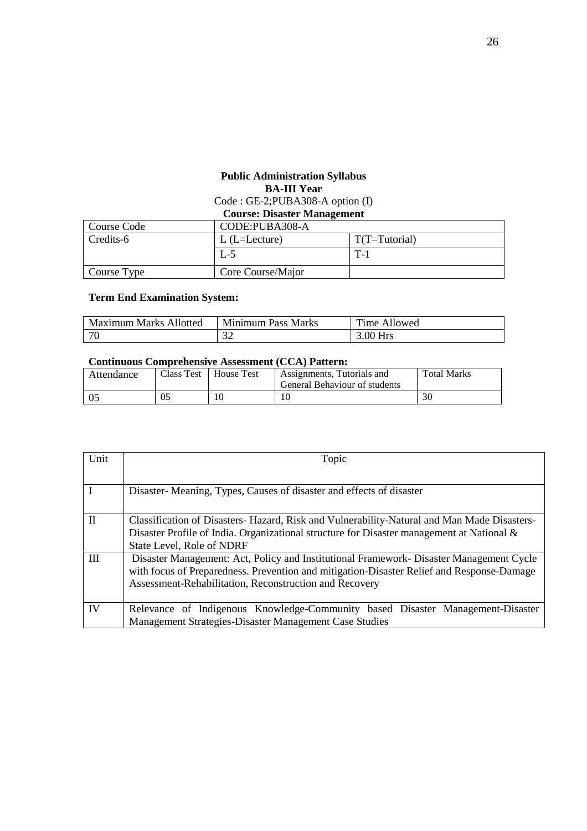### **Public Administration Syllabus BA-III Year**  Code : GE-2;PUBA308-A option (I) **Course: Disaster Management**

|             | Course, Disaster Management        |     |  |  |  |
|-------------|------------------------------------|-----|--|--|--|
| Course Code | CODE:PUBA308-A                     |     |  |  |  |
| Credits-6   | $T(T=Tutorial)$<br>$L$ (L=Lecture) |     |  |  |  |
|             | $L-5$                              | T-1 |  |  |  |
| Course Type | Core Course/Major                  |     |  |  |  |

# **Term End Examination System:**

| Maximum Marks Allotted | Minimum Pass Marks | Time Allowed |
|------------------------|--------------------|--------------|
| 70                     |                    | 3.00 Hrs     |

| Attendance | Class Test     | House Test | Assignments, Tutorials and<br>General Behaviour of students | <b>Total Marks</b> |
|------------|----------------|------------|-------------------------------------------------------------|--------------------|
|            | 0 <sup>5</sup> | 10         | 10                                                          |                    |

| Unit         | Topic                                                                                                                                                                                                                                          |
|--------------|------------------------------------------------------------------------------------------------------------------------------------------------------------------------------------------------------------------------------------------------|
|              |                                                                                                                                                                                                                                                |
|              | Disaster-Meaning, Types, Causes of disaster and effects of disaster                                                                                                                                                                            |
| $\mathbf{I}$ | Classification of Disasters-Hazard, Risk and Vulnerability-Natural and Man Made Disasters-<br>Disaster Profile of India. Organizational structure for Disaster management at National &<br>State Level, Role of NDRF                           |
| III          | Disaster Management: Act, Policy and Institutional Framework- Disaster Management Cycle<br>with focus of Preparedness. Prevention and mitigation-Disaster Relief and Response-Damage<br>Assessment-Rehabilitation, Reconstruction and Recovery |
| IV           | Relevance of Indigenous Knowledge-Community based Disaster Management-Disaster<br>Management Strategies-Disaster Management Case Studies                                                                                                       |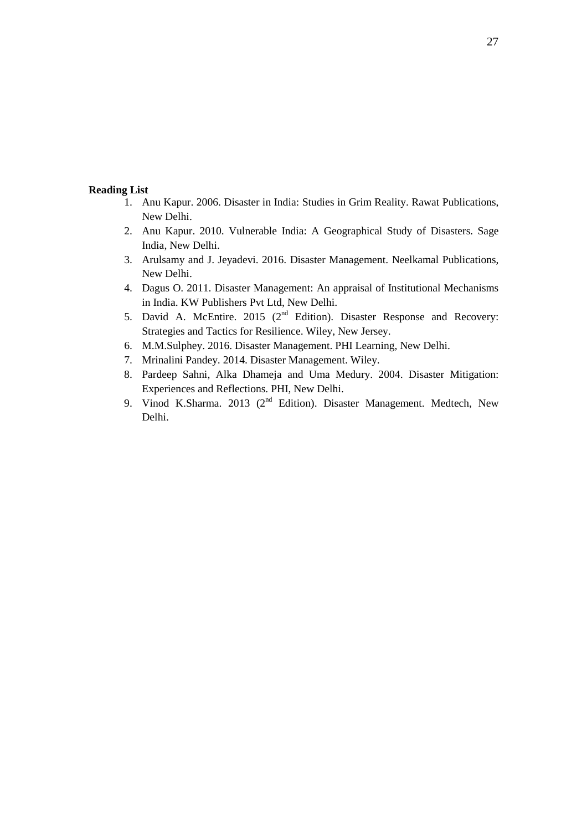#### **Reading List**

- 1. Anu Kapur. 2006. Disaster in India: Studies in Grim Reality. Rawat Publications, New Delhi.
- 2. Anu Kapur. 2010. Vulnerable India: A Geographical Study of Disasters. Sage India, New Delhi.
- 3. Arulsamy and J. Jeyadevi. 2016. Disaster Management. Neelkamal Publications, New Delhi.
- 4. Dagus O. 2011. Disaster Management: An appraisal of Institutional Mechanisms in India. KW Publishers Pvt Ltd, New Delhi.
- 5. David A. McEntire. 2015 (2nd Edition). Disaster Response and Recovery: Strategies and Tactics for Resilience. Wiley, New Jersey.
- 6. M.M.Sulphey. 2016. Disaster Management. PHI Learning, New Delhi.
- 7. Mrinalini Pandey. 2014. Disaster Management. Wiley.
- 8. Pardeep Sahni, Alka Dhameja and Uma Medury. 2004. Disaster Mitigation: Experiences and Reflections. PHI, New Delhi.
- 9. Vinod K.Sharma. 2013 (2<sup>nd</sup> Edition). Disaster Management. Medtech, New Delhi.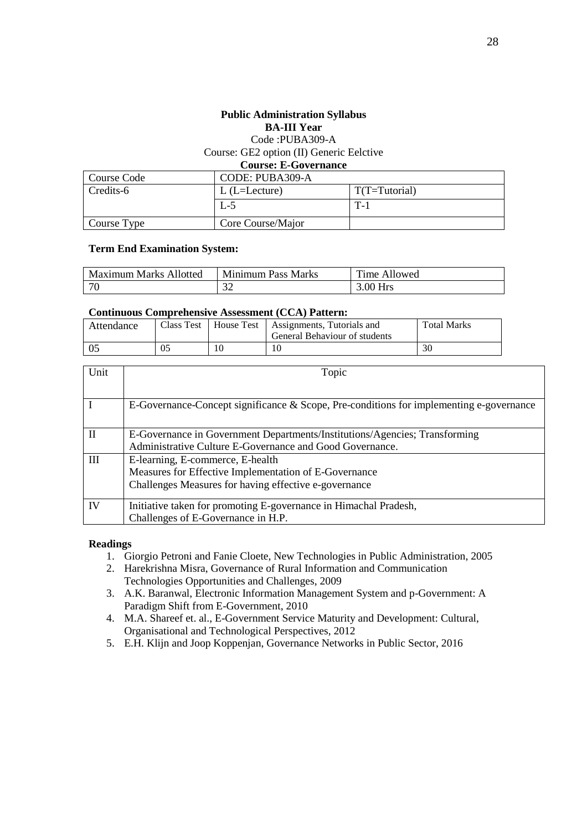#### **Public Administration Syllabus BA-III Year**  Code :PUBA309-A Course: GE2 option (II) Generic Eelctive **Course: E-Governance**

| Course. E-Governance         |                   |                 |  |  |
|------------------------------|-------------------|-----------------|--|--|
| Course Code                  | CODE: PUBA309-A   |                 |  |  |
| Credits-6<br>$L$ (L=Lecture) |                   | $T(T=Tutorial)$ |  |  |
|                              | $L-5$             | T-1             |  |  |
| Course Type                  | Core Course/Major |                 |  |  |

#### **Term End Examination System:**

| Maximum Marks Allotted | Minimum Pass Marks | Time Allowed |
|------------------------|--------------------|--------------|
| .7C                    |                    | 3.00 Hrs     |

#### **Continuous Comprehensive Assessment (CCA) Pattern:**

| Attendance |    | Class Test   House Test   Assignments, Tutorials and<br>General Behaviour of students | <b>Total Marks</b> |
|------------|----|---------------------------------------------------------------------------------------|--------------------|
|            | 10 |                                                                                       |                    |

| Unit         | Topic                                                                                      |
|--------------|--------------------------------------------------------------------------------------------|
|              |                                                                                            |
|              | E-Governance-Concept significance $\&$ Scope, Pre-conditions for implementing e-governance |
|              |                                                                                            |
| $\mathbf{I}$ | E-Governance in Government Departments/Institutions/Agencies; Transforming                 |
|              | Administrative Culture E-Governance and Good Governance.                                   |
| Ш            | E-learning, E-commerce, E-health                                                           |
|              | Measures for Effective Implementation of E-Governance                                      |
|              | Challenges Measures for having effective e-governance                                      |
| <b>IV</b>    | Initiative taken for promoting E-governance in Himachal Pradesh,                           |
|              | Challenges of E-Governance in H.P.                                                         |

#### **Readings**

- 1. Giorgio Petroni and Fanie Cloete, New Technologies in Public Administration, 2005
- 2. Harekrishna Misra, Governance of Rural Information and Communication Technologies Opportunities and Challenges, 2009
- 3. A.K. Baranwal, Electronic Information Management System and p-Government: A Paradigm Shift from E-Government, 2010
- 4. M.A. Shareef et. al., E-Government Service Maturity and Development: Cultural, Organisational and Technological Perspectives, 2012
- 5. E.H. Klijn and Joop Koppenjan, Governance Networks in Public Sector, 2016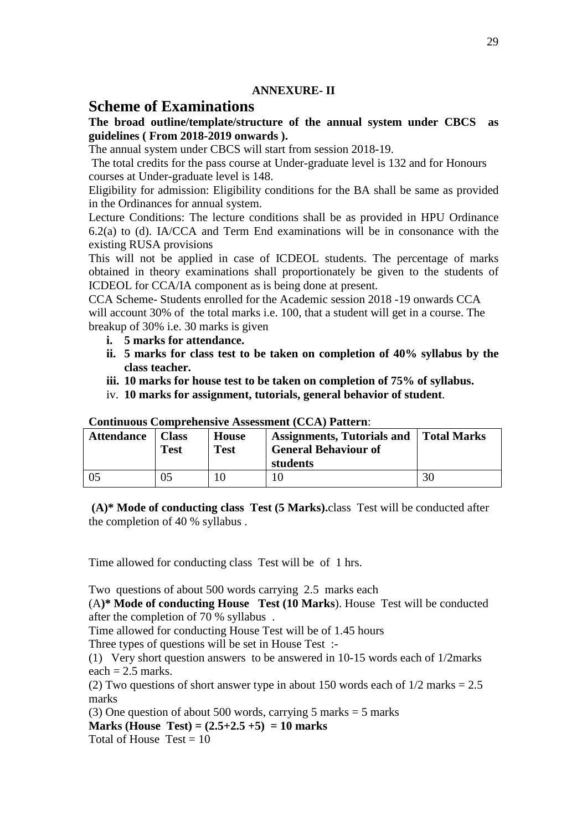# **ANNEXURE- II**

# **Scheme of Examinations**

**The broad outline/template/structure of the annual system under CBCS as guidelines ( From 2018-2019 onwards ).**

The annual system under CBCS will start from session 2018-19.

 The total credits for the pass course at Under-graduate level is 132 and for Honours courses at Under-graduate level is 148.

Eligibility for admission: Eligibility conditions for the BA shall be same as provided in the Ordinances for annual system.

Lecture Conditions: The lecture conditions shall be as provided in HPU Ordinance 6.2(a) to (d). IA/CCA and Term End examinations will be in consonance with the existing RUSA provisions

This will not be applied in case of ICDEOL students. The percentage of marks obtained in theory examinations shall proportionately be given to the students of ICDEOL for CCA/IA component as is being done at present.

CCA Scheme- Students enrolled for the Academic session 2018 -19 onwards CCA will account 30% of the total marks i.e. 100, that a student will get in a course. The breakup of 30% i.e. 30 marks is given

- **i. 5 marks for attendance.**
- **ii. 5 marks for class test to be taken on completion of 40% syllabus by the class teacher.**
- **iii. 10 marks for house test to be taken on completion of 75% of syllabus.**
- iv. **10 marks for assignment, tutorials, general behavior of student**.

| <b>Attendance</b> | Class<br><b>Test</b> | <b>House</b><br><b>Test</b> | <b>Assignments, Tutorials and   Total Marks</b><br><b>General Behaviour of</b><br>students |    |
|-------------------|----------------------|-----------------------------|--------------------------------------------------------------------------------------------|----|
|                   |                      |                             |                                                                                            | 30 |

# **Continuous Comprehensive Assessment (CCA) Pattern**:

 **(A)\* Mode of conducting class Test (5 Marks).**class Test will be conducted after the completion of 40 % syllabus .

Time allowed for conducting class Test will be of 1 hrs.

Two questions of about 500 words carrying 2.5 marks each

(A**)\* Mode of conducting House Test (10 Marks**). House Test will be conducted after the completion of 70 % syllabus .

Time allowed for conducting House Test will be of 1.45 hours

Three types of questions will be set in House Test :-

(1) Very short question answers to be answered in 10-15 words each of 1/2marks each  $= 2.5$  marks.

(2) Two questions of short answer type in about 150 words each of  $1/2$  marks = 2.5 marks

(3) One question of about 500 words, carrying 5 marks = 5 marks

**Marks (House Test) = (2.5+2.5 +5) = 10 marks** 

Total of House  $Test = 10$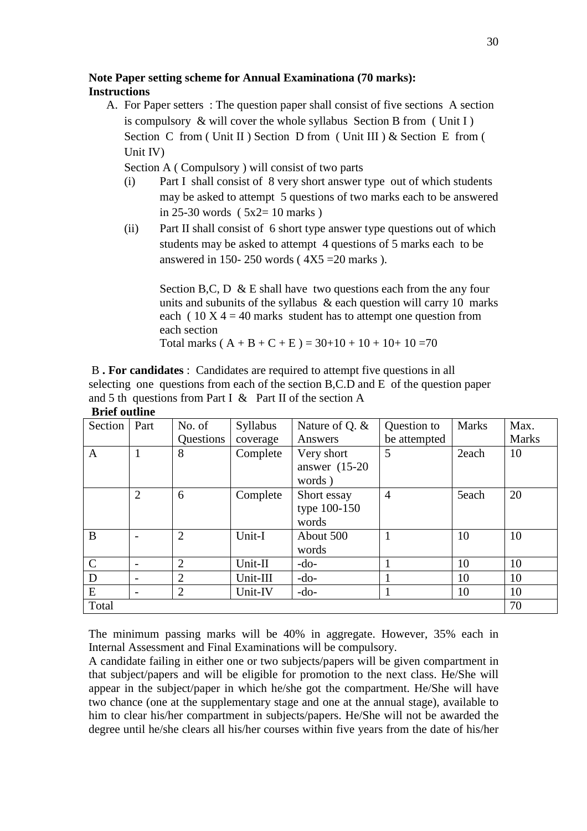# **Note Paper setting scheme for Annual Examinationa (70 marks): Instructions**

A. For Paper setters : The question paper shall consist of five sections A section is compulsory  $\&$  will cover the whole syllabus Section B from (Unit I) Section C from ( Unit II ) Section D from ( Unit III ) & Section E from ( Unit IV)

Section A ( Compulsory ) will consist of two parts

- (i) Part I shall consist of 8 very short answer type out of which students may be asked to attempt 5 questions of two marks each to be answered in  $25-30$  words ( $5x2=10$  marks)
- (ii) Part II shall consist of 6 short type answer type questions out of which students may be asked to attempt 4 questions of 5 marks each to be answered in 150- 250 words  $(4X5 = 20$  marks).

Section B,C, D  $\&$  E shall have two questions each from the any four units and subunits of the syllabus  $\&$  each question will carry 10 marks each ( $10 X 4 = 40$  marks student has to attempt one question from each section

Total marks  $(A + B + C + E) = 30+10+10+10+10=70$ 

 B **. For candidates** : Candidates are required to attempt five questions in all selecting one questions from each of the section B,C.D and E of the question paper and 5 th questions from Part I & Part II of the section A

| Section       | Part                     | No. of<br>Questions | <b>Syllabus</b><br>coverage | Nature of $Q$ . $\&$<br>Answers          | Question to<br>be attempted | <b>Marks</b> | Max.<br><b>Marks</b> |
|---------------|--------------------------|---------------------|-----------------------------|------------------------------------------|-----------------------------|--------------|----------------------|
| A             |                          | 8                   | Complete                    | Very short<br>answer $(15-20)$<br>words) | 5                           | 2each        | 10                   |
|               | $\overline{2}$           | 6                   | Complete                    | Short essay<br>type 100-150<br>words     | $\overline{4}$              | 5each        | 20                   |
| B             |                          | $\overline{2}$      | Unit-I                      | About 500<br>words                       |                             | 10           | 10                   |
| $\mathcal{C}$ | $\overline{\phantom{a}}$ | $\overline{2}$      | Unit-II                     | $-do-$                                   |                             | 10           | 10                   |
| D             | $\overline{\phantom{a}}$ | $\overline{2}$      | Unit-III                    | $-do-$                                   |                             | 10           | 10                   |
| E             | -                        | $\overline{2}$      | Unit-IV                     | $-do-$                                   |                             | 10           | 10                   |
| Total         |                          |                     |                             |                                          |                             |              | 70                   |

# **Brief outline**

The minimum passing marks will be 40% in aggregate. However, 35% each in Internal Assessment and Final Examinations will be compulsory.

A candidate failing in either one or two subjects/papers will be given compartment in that subject/papers and will be eligible for promotion to the next class. He/She will appear in the subject/paper in which he/she got the compartment. He/She will have two chance (one at the supplementary stage and one at the annual stage), available to him to clear his/her compartment in subjects/papers. He/She will not be awarded the degree until he/she clears all his/her courses within five years from the date of his/her